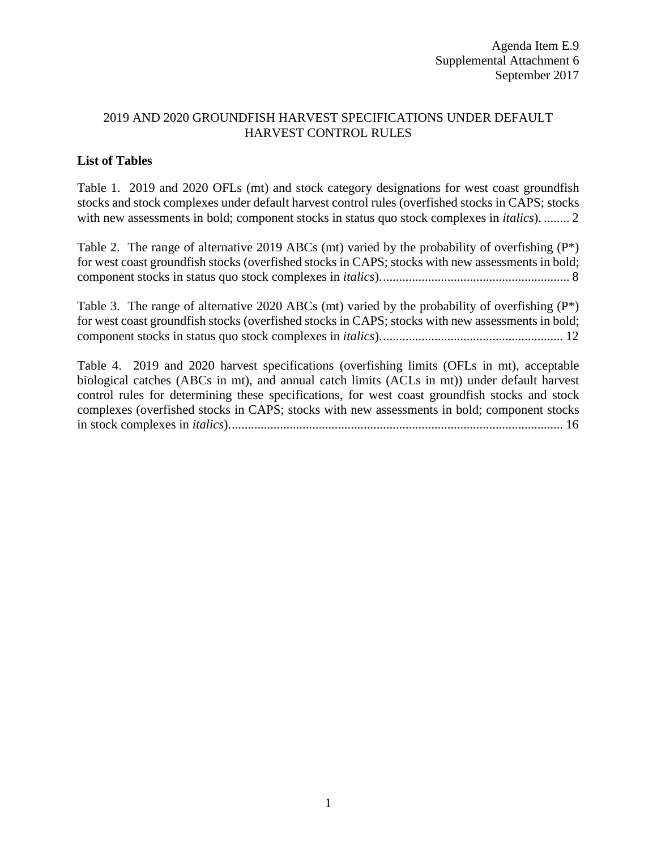## 2019 AND 2020 GROUNDFISH HARVEST SPECIFICATIONS UNDER DEFAULT HARVEST CONTROL RULES

## **List of Tables**

[Table 1. 2019 and 2020 OFLs \(mt\) and stock category designations for west coast groundfish](#page-1-0)  [stocks and stock complexes under default harvest control rules \(overfished stocks in CAPS; stocks](#page-1-0)  [with new assessments in bold; component stocks in status quo stock](#page-1-0) complexes in *italics*). ........ 2

Table 2. The range of alternative 2019 ABCs (mt) varied by the probability of overfishing  $(P^*)$ [for west coast groundfish stocks \(overfished stocks in CAPS; stocks with new assessments in bold;](#page-7-0)  [component stocks in status quo stock complexes in](#page-7-0) *italics*)........................................................... 8

[Table 3. The range of alternative 2020 ABCs \(mt\) varied by the probability of overfishing \(P\\*\)](#page-11-0)  [for west coast groundfish stocks \(overfished stocks in CAPS; stocks with new assessments in bold;](#page-11-0)  [component stocks in status quo stock complexes in](#page-11-0) *italics*)......................................................... 12

[Table 4. 2019 and 2020 harvest specifications \(overfishing limits \(OFLs in mt\), acceptable](#page-15-0)  [biological catches \(ABCs in mt\), and annual catch limits \(ACLs in mt\)\) under default harvest](#page-15-0)  [control rules for determining these specifications, for west coast groundfish stocks and stock](#page-15-0)  [complexes \(overfished stocks in CAPS; stocks with new assessments in bold; component stocks](#page-15-0)  in stock complexes in *italics*[\)........................................................................................................](#page-15-0) 16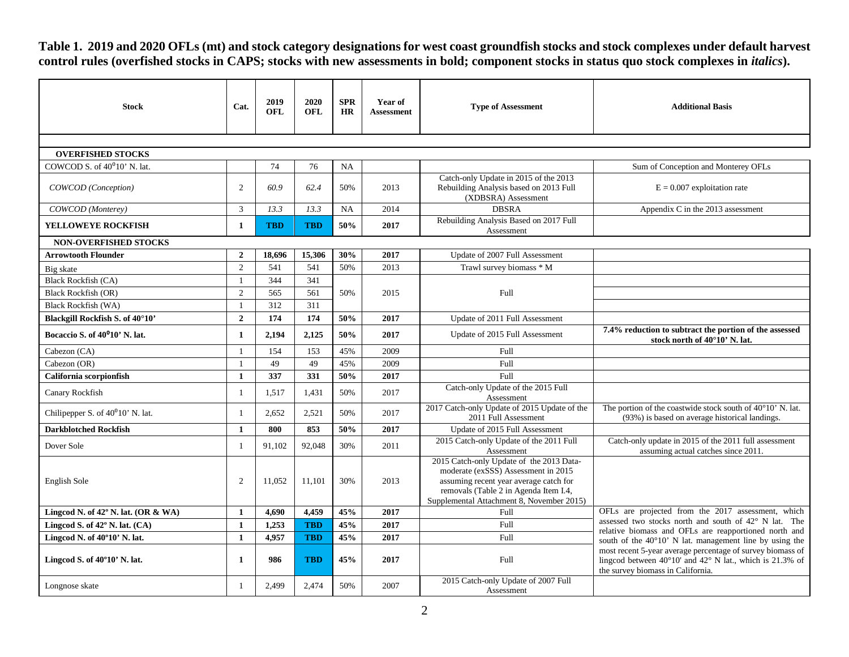**Table 1. 2019 and 2020 OFLs (mt) and stock category designations for west coast groundfish stocks and stock complexes under default harvest**  control rules (overfished stocks in CAPS; stocks with new assessments in bold; component stocks in status quo stock complexes in *italics*).

<span id="page-1-0"></span>

| <b>Stock</b>                                  | Cat.           | 2019<br>OFL | 2020<br><b>OFL</b> | <b>SPR</b><br><b>HR</b> | Year of<br><b>Assessment</b> | <b>Type of Assessment</b>                                                                                                                                                                                                     | <b>Additional Basis</b>                                                                                                                                                       |  |  |  |
|-----------------------------------------------|----------------|-------------|--------------------|-------------------------|------------------------------|-------------------------------------------------------------------------------------------------------------------------------------------------------------------------------------------------------------------------------|-------------------------------------------------------------------------------------------------------------------------------------------------------------------------------|--|--|--|
|                                               |                |             |                    |                         |                              |                                                                                                                                                                                                                               |                                                                                                                                                                               |  |  |  |
| <b>OVERFISHED STOCKS</b>                      |                |             |                    |                         |                              |                                                                                                                                                                                                                               |                                                                                                                                                                               |  |  |  |
| COWCOD S. of $40^010'$ N. lat.                |                | 74          | 76                 | <b>NA</b>               |                              |                                                                                                                                                                                                                               | Sum of Conception and Monterey OFLs                                                                                                                                           |  |  |  |
| COWCOD (Conception)                           | 2              | 60.9        | 62.4               | 50%                     | 2013                         | Catch-only Update in 2015 of the 2013<br>Rebuilding Analysis based on 2013 Full<br>(XDBSRA) Assessment                                                                                                                        | $E = 0.007$ exploitation rate                                                                                                                                                 |  |  |  |
| COWCOD (Monterey)                             | $\overline{3}$ | 13.3        | 13.3               | <b>NA</b>               | 2014                         | <b>DBSRA</b>                                                                                                                                                                                                                  | Appendix C in the 2013 assessment                                                                                                                                             |  |  |  |
| <b>YELLOWEYE ROCKFISH</b>                     | 1              | <b>TBD</b>  | <b>TBD</b>         | 50%                     | 2017                         | Rebuilding Analysis Based on 2017 Full<br>Assessment                                                                                                                                                                          |                                                                                                                                                                               |  |  |  |
| <b>NON-OVERFISHED STOCKS</b>                  |                |             |                    |                         |                              |                                                                                                                                                                                                                               |                                                                                                                                                                               |  |  |  |
| <b>Arrowtooth Flounder</b>                    | $\overline{2}$ | 18,696      | 15,306             | 30%                     | 2017                         | Update of 2007 Full Assessment                                                                                                                                                                                                |                                                                                                                                                                               |  |  |  |
| Big skate                                     | 2              | 541         | 541                | 50%                     | 2013                         | Trawl survey biomass * M                                                                                                                                                                                                      |                                                                                                                                                                               |  |  |  |
| <b>Black Rockfish (CA)</b>                    | $\overline{1}$ | 344         | 341                |                         |                              |                                                                                                                                                                                                                               |                                                                                                                                                                               |  |  |  |
| <b>Black Rockfish (OR)</b>                    | 2              | 565         | 561                | 50%                     | 2015                         | Full                                                                                                                                                                                                                          |                                                                                                                                                                               |  |  |  |
| <b>Black Rockfish (WA)</b>                    | $\overline{1}$ | 312         | 311                |                         |                              |                                                                                                                                                                                                                               |                                                                                                                                                                               |  |  |  |
| Blackgill Rockfish S. of 40°10'               | $\overline{2}$ | 174         | 174                | 50%                     | 2017                         | Update of 2011 Full Assessment                                                                                                                                                                                                |                                                                                                                                                                               |  |  |  |
| Bocaccio S. of 40 <sup>0</sup> 10' N. lat.    | 1              | 2,194       | 2,125              | 50%                     | 2017                         | Update of 2015 Full Assessment                                                                                                                                                                                                | 7.4% reduction to subtract the portion of the assessed<br>stock north of 40°10' N. lat.                                                                                       |  |  |  |
| Cabezon (CA)                                  | $\overline{1}$ | 154         | 153                | 45%                     | 2009                         | Full                                                                                                                                                                                                                          |                                                                                                                                                                               |  |  |  |
| Cabezon (OR)                                  | $\overline{1}$ | 49          | 49                 | 45%                     | 2009                         | Full                                                                                                                                                                                                                          |                                                                                                                                                                               |  |  |  |
| California scorpionfish                       | $\mathbf{1}$   | 337         | 331                | 50%                     | 2017                         | Full                                                                                                                                                                                                                          |                                                                                                                                                                               |  |  |  |
| Canary Rockfish                               | $\overline{1}$ | 1,517       | 1,431              | 50%                     | 2017                         | Catch-only Update of the 2015 Full<br>Assessment                                                                                                                                                                              |                                                                                                                                                                               |  |  |  |
| Chilipepper S. of 40 <sup>0</sup> 10' N. lat. | $\overline{1}$ | 2.652       | 2.521              | 50%                     | 2017                         | 2017 Catch-only Update of 2015 Update of the<br>2011 Full Assessment                                                                                                                                                          | The portion of the coastwide stock south of 40°10' N. lat.<br>(93%) is based on average historical landings.                                                                  |  |  |  |
| <b>Darkblotched Rockfish</b>                  | $\mathbf{1}$   | 800         | 853                | 50%                     | 2017                         | Update of 2015 Full Assessment                                                                                                                                                                                                |                                                                                                                                                                               |  |  |  |
| Dover Sole                                    |                | 91,102      | 92,048             | 30%                     | 2011                         | 2015 Catch-only Update of the 2011 Full                                                                                                                                                                                       | Catch-only update in 2015 of the 2011 full assessment                                                                                                                         |  |  |  |
| English Sole                                  | 2              | 11,052      | 11,101             | 30%                     | 2013                         | Assessment<br>2015 Catch-only Update of the 2013 Data-<br>moderate (exSSS) Assessment in 2015<br>assuming recent year average catch for<br>removals (Table 2 in Agenda Item I.4,<br>Supplemental Attachment 8, November 2015) | assuming actual catches since 2011                                                                                                                                            |  |  |  |
| Lingcod N. of $42^{\circ}$ N. lat. (OR & WA)  | $\mathbf{1}$   | 4.690       | 4.459              | 45%                     | 2017                         | Full                                                                                                                                                                                                                          | OFLs are projected from the 2017 assessment, which                                                                                                                            |  |  |  |
| Lingcod S. of 42° N. lat. (CA)                | $\mathbf{1}$   | 1,253       | <b>TBD</b>         | 45%                     | 2017                         | Full                                                                                                                                                                                                                          | assessed two stocks north and south of 42° N lat. The<br>relative biomass and OFLs are reapportioned north and                                                                |  |  |  |
| Lingcod N. of $40^{\circ}10'$ N. lat.         | 1              | 4,957       | <b>TBD</b>         | 45%                     | 2017                         | <b>Full</b>                                                                                                                                                                                                                   | south of the 40°10' N lat. management line by using the                                                                                                                       |  |  |  |
| Lingcod S. of $40^{\circ}10'$ N. lat.         | $\mathbf{1}$   | 986         | <b>TBD</b>         | 45%                     | 2017                         | Full                                                                                                                                                                                                                          | most recent 5-year average percentage of survey biomass of<br>lingcod between $40^{\circ}10'$ and $42^{\circ}$ N lat., which is 21.3% of<br>the survey biomass in California. |  |  |  |
| Longnose skate                                | $\overline{1}$ | 2.499       | 2.474              | 50%                     | 2007                         | 2015 Catch-only Update of 2007 Full<br>Assessment                                                                                                                                                                             |                                                                                                                                                                               |  |  |  |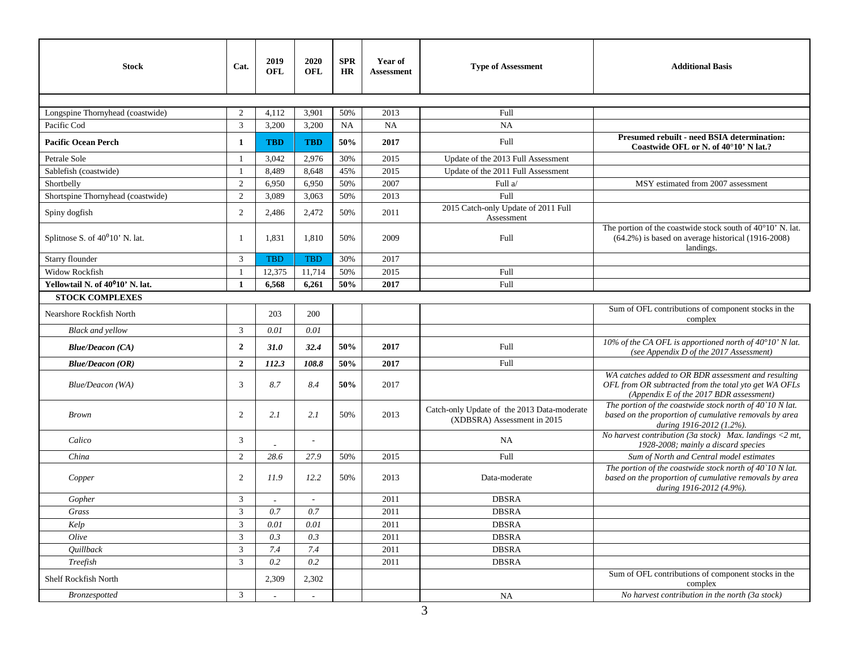| <b>Stock</b>                                 | Cat.           | 2019<br>OFL | 2020<br><b>OFL</b>    | <b>SPR</b><br>HR | Year of<br><b>Assessment</b> | <b>Type of Assessment</b>                                                  | <b>Additional Basis</b>                                                                                                                                 |
|----------------------------------------------|----------------|-------------|-----------------------|------------------|------------------------------|----------------------------------------------------------------------------|---------------------------------------------------------------------------------------------------------------------------------------------------------|
|                                              |                |             |                       |                  |                              |                                                                            |                                                                                                                                                         |
| Longspine Thornyhead (coastwide)             | $\overline{2}$ | 4,112       | 3,901                 | 50%              | 2013                         | Full                                                                       |                                                                                                                                                         |
| Pacific Cod                                  | 3              | 3,200       | 3,200                 | <b>NA</b>        | NA                           | NA                                                                         |                                                                                                                                                         |
| <b>Pacific Ocean Perch</b>                   | 1              | <b>TBD</b>  | <b>TBD</b>            | 50%              | 2017                         | Full                                                                       | Presumed rebuilt - need BSIA determination:<br>Coastwide OFL or N. of 40°10' N lat.?                                                                    |
| Petrale Sole                                 | $\overline{1}$ | 3,042       | 2,976                 | 30%              | 2015                         | Update of the 2013 Full Assessment                                         |                                                                                                                                                         |
| Sablefish (coastwide)                        |                | 8,489       | 8,648                 | 45%              | 2015                         | Update of the 2011 Full Assessment                                         |                                                                                                                                                         |
| Shortbelly                                   | 2              | 6,950       | 6,950                 | 50%              | 2007                         | Full a/                                                                    | MSY estimated from 2007 assessment                                                                                                                      |
| Shortspine Thornyhead (coastwide)            | 2              | 3,089       | 3,063                 | 50%              | 2013                         | Full                                                                       |                                                                                                                                                         |
| Spiny dogfish                                | 2              | 2,486       | 2,472                 | 50%              | 2011                         | 2015 Catch-only Update of 2011 Full<br>Assessment                          |                                                                                                                                                         |
| Splitnose S. of $40^010'$ N. lat.            | -1             | 1,831       | 1,810                 | 50%              | 2009                         | Full                                                                       | The portion of the coastwide stock south of 40°10' N. lat.<br>$(64.2\%)$ is based on average historical (1916-2008)<br>landings.                        |
| Starry flounder                              | 3              | <b>TBD</b>  | <b>TBD</b>            | 30%              | 2017                         |                                                                            |                                                                                                                                                         |
| <b>Widow Rockfish</b>                        | $\overline{1}$ | 12,375      | 11,714                | 50%              | 2015                         | Full                                                                       |                                                                                                                                                         |
| Yellowtail N. of 40 <sup>0</sup> 10' N. lat. | $\mathbf{1}$   | 6,568       | 6,261                 | 50%              | 2017                         | Full                                                                       |                                                                                                                                                         |
| <b>STOCK COMPLEXES</b>                       |                |             |                       |                  |                              |                                                                            |                                                                                                                                                         |
| Nearshore Rockfish North                     |                | 203         | 200                   |                  |                              |                                                                            | Sum of OFL contributions of component stocks in the<br>complex                                                                                          |
| <b>Black and yellow</b>                      | 3              | 0.01        | 0.01                  |                  |                              |                                                                            |                                                                                                                                                         |
| <b>Blue/Deacon (CA)</b>                      | $\overline{2}$ | 31.0        | 32.4                  | 50%              | 2017                         | Full                                                                       | 10% of the CA OFL is apportioned north of 40°10' N lat.<br>(see Appendix D of the 2017 Assessment)                                                      |
| <b>Blue/Deacon (OR)</b>                      | $\overline{2}$ | 112.3       | 108.8                 | 50%              | 2017                         | Full                                                                       |                                                                                                                                                         |
| Blue/Deacon (WA)                             | 3              | 8.7         | 8.4                   | 50%              | 2017                         |                                                                            | WA catches added to OR BDR assessment and resulting<br>OFL from OR subtracted from the total yto get WA OFLs<br>(Appendix E of the 2017 BDR assessment) |
| <b>Brown</b>                                 | 2              | 2.1         | 2.1                   | 50%              | 2013                         | Catch-only Update of the 2013 Data-moderate<br>(XDBSRA) Assessment in 2015 | The portion of the coastwide stock north of 40`10 N lat.<br>based on the proportion of cumulative removals by area<br>during 1916-2012 (1.2%).          |
| Calico                                       | 3              |             | $\tilde{\phantom{a}}$ |                  |                              | NA                                                                         | No harvest contribution (3a stock) Max. landings $\langle 2 \text{ mt}, \rangle$<br>1928-2008; mainly a discard species                                 |
| China                                        | 2              | 28.6        | 27.9                  | 50%              | 2015                         | Full                                                                       | Sum of North and Central model estimates                                                                                                                |
| Copper                                       | 2              | 11.9        | 12.2                  | 50%              | 2013                         | Data-moderate                                                              | The portion of the coastwide stock north of $40^{\circ}10$ N lat.<br>based on the proportion of cumulative removals by area<br>during 1916-2012 (4.9%). |
| Gopher                                       | 3              |             | $\sim$                |                  | 2011                         | <b>DBSRA</b>                                                               |                                                                                                                                                         |
| Grass                                        | 3              | 0.7         | 0.7                   |                  | 2011                         | <b>DBSRA</b>                                                               |                                                                                                                                                         |
| Kelp                                         | 3              | 0.01        | 0.01                  |                  | 2011                         | <b>DBSRA</b>                                                               |                                                                                                                                                         |
| Olive                                        | 3              | 0.3         | 0.3                   |                  | 2011                         | <b>DBSRA</b>                                                               |                                                                                                                                                         |
| Quillback                                    | 3              | 7.4         | 7.4                   |                  | 2011                         | <b>DBSRA</b>                                                               |                                                                                                                                                         |
| Treefish                                     | $\overline{3}$ | 0.2         | $0.2\,$               |                  | 2011                         | <b>DBSRA</b>                                                               |                                                                                                                                                         |
| Shelf Rockfish North                         |                | 2,309       | 2,302                 |                  |                              |                                                                            | Sum of OFL contributions of component stocks in the<br>complex                                                                                          |
| <b>Bronzespotted</b>                         | 3              |             |                       |                  |                              | NA                                                                         | No harvest contribution in the north (3a stock)                                                                                                         |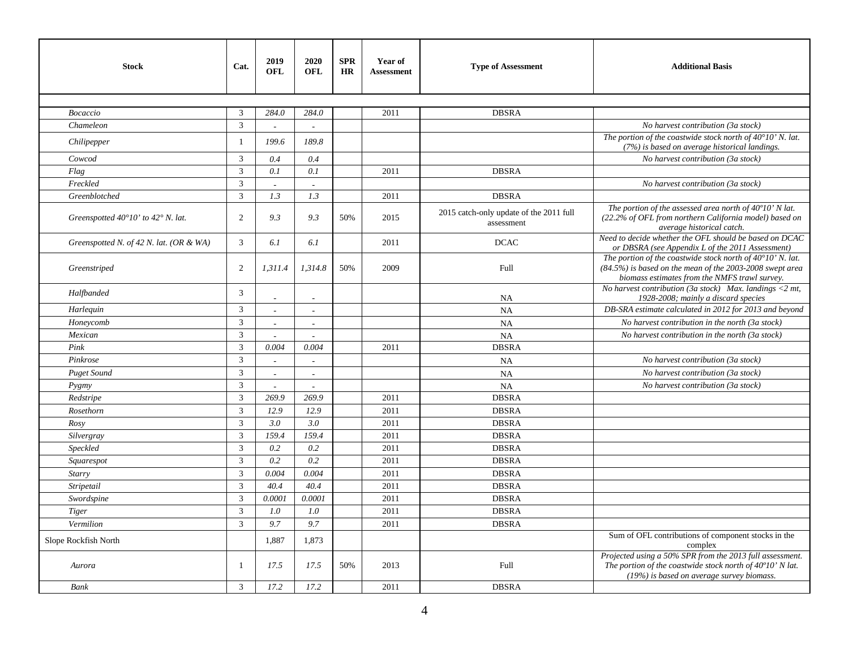| <b>Stock</b>                                         | Cat.           | 2019<br>OFL              | 2020<br><b>OFL</b> | <b>SPR</b><br>HR | Year of<br><b>Assessment</b> | <b>Type of Assessment</b>                             | <b>Additional Basis</b>                                                                                                                                                            |
|------------------------------------------------------|----------------|--------------------------|--------------------|------------------|------------------------------|-------------------------------------------------------|------------------------------------------------------------------------------------------------------------------------------------------------------------------------------------|
|                                                      |                |                          |                    |                  |                              |                                                       |                                                                                                                                                                                    |
| Bocaccio                                             | 3              | 284.0                    | 284.0              |                  | 2011                         | <b>DBSRA</b>                                          |                                                                                                                                                                                    |
| Chameleon                                            | 3              |                          |                    |                  |                              |                                                       | No harvest contribution (3a stock)                                                                                                                                                 |
| Chilipepper                                          | 1              | 199.6                    | 189.8              |                  |                              |                                                       | The portion of the coastwide stock north of $40^{\circ}10'$ N. lat.<br>(7%) is based on average historical landings.                                                               |
| Cowcod                                               | 3              | 0.4                      | 0.4                |                  |                              |                                                       | No harvest contribution (3a stock)                                                                                                                                                 |
| Flag                                                 | 3              | 0.1                      | 0.1                |                  | 2011                         | <b>DBSRA</b>                                          |                                                                                                                                                                                    |
| Freckled                                             | 3              | $\overline{\phantom{a}}$ |                    |                  |                              |                                                       | No harvest contribution (3a stock)                                                                                                                                                 |
| Greenblotched                                        | $\mathfrak{Z}$ | 1.3                      | 1.3                |                  | 2011                         | <b>DBSRA</b>                                          |                                                                                                                                                                                    |
| Greenspotted $40^{\circ}10'$ to $42^{\circ}$ N. lat. | 2              | 9.3                      | 9.3                | 50%              | 2015                         | 2015 catch-only update of the 2011 full<br>assessment | The portion of the assessed area north of $40^{\circ}10'$ N lat.<br>(22.2% of OFL from northern California model) based on<br>average historical catch.                            |
| Greenspotted N. of 42 N. lat. (OR & WA)              | 3              | 6.1                      | 6.1                |                  | 2011                         | <b>DCAC</b>                                           | Need to decide whether the OFL should be based on DCAC<br>or DBSRA (see Appendix L of the 2011 Assessment)                                                                         |
| Greenstriped                                         | 2              | 1,311.4                  | 1,314.8            | 50%              | 2009                         | Full                                                  | The portion of the coastwide stock north of $40^{\circ}10'$ N. lat.<br>$(84.5%)$ is based on the mean of the 2003-2008 swept area<br>biomass estimates from the NMFS trawl survey. |
| Halfbanded                                           | 3              |                          |                    |                  |                              | <b>NA</b>                                             | No harvest contribution (3a stock) Max. landings <2 mt,<br>1928-2008; mainly a discard species                                                                                     |
| Harlequin                                            | 3              | $\tilde{\phantom{a}}$    | $\sim$             |                  |                              | NA                                                    | DB-SRA estimate calculated in 2012 for 2013 and beyond                                                                                                                             |
| Honeycomb                                            | 3              |                          |                    |                  |                              | <b>NA</b>                                             | No harvest contribution in the north (3a stock)                                                                                                                                    |
| Mexican                                              | 3              |                          |                    |                  |                              | NA                                                    | No harvest contribution in the north (3a stock)                                                                                                                                    |
| Pink                                                 | 3              | 0.004                    | 0.004              |                  | 2011                         | <b>DBSRA</b>                                          |                                                                                                                                                                                    |
| Pinkrose                                             | 3              |                          |                    |                  |                              | <b>NA</b>                                             | No harvest contribution (3a stock)                                                                                                                                                 |
| <b>Puget Sound</b>                                   | 3              |                          |                    |                  |                              | NA                                                    | No harvest contribution (3a stock)                                                                                                                                                 |
| Pygmy                                                | 3              | $\overline{a}$           | ÷.                 |                  |                              | NA                                                    | No harvest contribution (3a stock)                                                                                                                                                 |
| Redstripe                                            | 3              | 269.9                    | 269.9              |                  | 2011                         | <b>DBSRA</b>                                          |                                                                                                                                                                                    |
| Rosethorn                                            | 3              | 12.9                     | 12.9               |                  | 2011                         | <b>DBSRA</b>                                          |                                                                                                                                                                                    |
| Rosy                                                 | 3              | 3.0                      | 3.0                |                  | 2011                         | <b>DBSRA</b>                                          |                                                                                                                                                                                    |
| Silvergray                                           | 3              | 159.4                    | 159.4              |                  | 2011                         | <b>DBSRA</b>                                          |                                                                                                                                                                                    |
| Speckled                                             | $\overline{3}$ | 0.2                      | 0.2                |                  | 2011                         | <b>DBSRA</b>                                          |                                                                                                                                                                                    |
| Squarespot                                           | 3              | 0.2                      | 0.2                |                  | 2011                         | <b>DBSRA</b>                                          |                                                                                                                                                                                    |
| Starry                                               | 3              | 0.004                    | 0.004              |                  | 2011                         | <b>DBSRA</b>                                          |                                                                                                                                                                                    |
| Stripetail                                           | 3              | 40.4                     | 40.4               |                  | 2011                         | <b>DBSRA</b>                                          |                                                                                                                                                                                    |
| Swordspine                                           | 3              | 0.0001                   | 0.0001             |                  | 2011                         | <b>DBSRA</b>                                          |                                                                                                                                                                                    |
| Tiger                                                | $\mathfrak{Z}$ | 1.0                      | 1.0                |                  | 2011                         | <b>DBSRA</b>                                          |                                                                                                                                                                                    |
| Vermilion                                            | 3              | 9.7                      | 9.7                |                  | 2011                         | <b>DBSRA</b>                                          |                                                                                                                                                                                    |
| Slope Rockfish North                                 |                | 1,887                    | 1,873              |                  |                              |                                                       | Sum of OFL contributions of component stocks in the<br>complex                                                                                                                     |
| Aurora                                               | $\overline{1}$ | 17.5                     | 17.5               | 50%              | 2013                         | Full                                                  | Projected using a 50% SPR from the 2013 full assessment.<br>The portion of the coastwide stock north of 40°10' N lat.<br>$(19\%)$ is based on average survey biomass.              |
| Bank                                                 | $\sqrt{3}$     | 17.2                     | 17.2               |                  | 2011                         | <b>DBSRA</b>                                          |                                                                                                                                                                                    |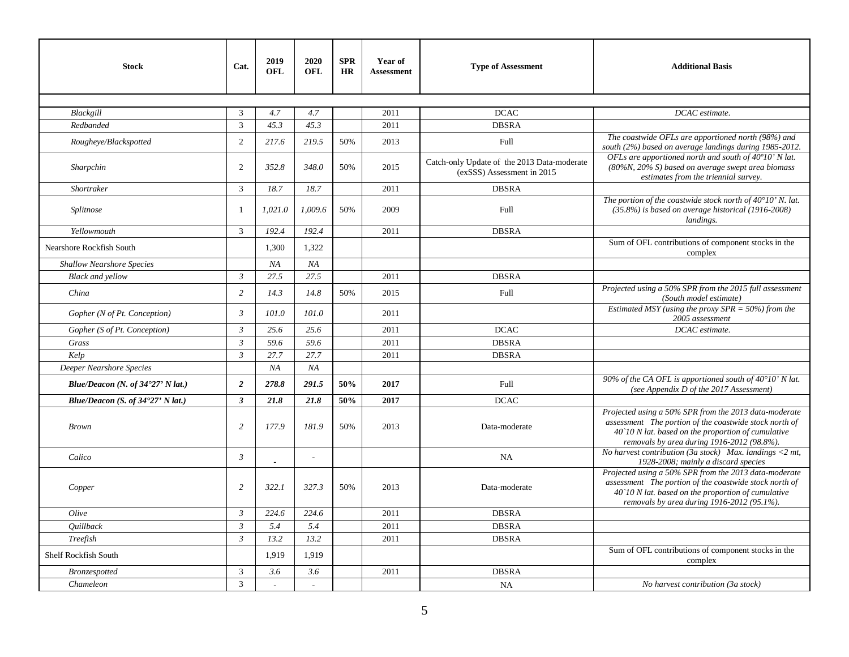| <b>Stock</b>                               | Cat.           | 2019<br><b>OFL</b> | 2020<br>OFL  | <b>SPR</b><br><b>HR</b> | Year of<br><b>Assessment</b> | <b>Type of Assessment</b>                                                 | <b>Additional Basis</b>                                                                                                                                                                                             |
|--------------------------------------------|----------------|--------------------|--------------|-------------------------|------------------------------|---------------------------------------------------------------------------|---------------------------------------------------------------------------------------------------------------------------------------------------------------------------------------------------------------------|
|                                            |                |                    |              |                         |                              |                                                                           |                                                                                                                                                                                                                     |
| Blackgill                                  | 3              | 4.7                | 4.7          |                         | 2011                         | <b>DCAC</b>                                                               | DCAC estimate.                                                                                                                                                                                                      |
| Redbanded                                  | $\overline{3}$ | 45.3               | 45.3         |                         | 2011                         | <b>DBSRA</b>                                                              |                                                                                                                                                                                                                     |
| Rougheye/Blackspotted                      | 2              | 217.6              | 219.5        | 50%                     | 2013                         | Full                                                                      | The coastwide OFLs are apportioned north (98%) and<br>south (2%) based on average landings during 1985-2012.                                                                                                        |
| Sharpchin                                  | $\overline{2}$ | 352.8              | 348.0        | 50%                     | 2015                         | Catch-only Update of the 2013 Data-moderate<br>(exSSS) Assessment in 2015 | OFLs are apportioned north and south of 40°10' N lat.<br>$(80\%N, 20\%S)$ based on average swept area biomass<br>estimates from the triennial survey.                                                               |
| Shortraker                                 | 3              | 18.7               | 18.7         |                         | 2011                         | <b>DBSRA</b>                                                              |                                                                                                                                                                                                                     |
| Splitnose                                  | $\overline{1}$ | 1,021.0            | 1,009.6      | 50%                     | 2009                         | Full                                                                      | The portion of the coastwide stock north of $40^{\circ}10'$ N. lat.<br>$(35.8%)$ is based on average historical (1916-2008)<br>landings.                                                                            |
| Yellowmouth                                | 3              | 192.4              | 192.4        |                         | 2011                         | <b>DBSRA</b>                                                              |                                                                                                                                                                                                                     |
| Nearshore Rockfish South                   |                | 1.300              | 1.322        |                         |                              |                                                                           | Sum of OFL contributions of component stocks in the<br>complex                                                                                                                                                      |
| <b>Shallow Nearshore Species</b>           |                | NA                 | NA           |                         |                              |                                                                           |                                                                                                                                                                                                                     |
| <b>Black and yellow</b>                    | $\mathfrak{Z}$ | 27.5               | 27.5         |                         | 2011                         | <b>DBSRA</b>                                                              |                                                                                                                                                                                                                     |
| China                                      | $\overline{c}$ | 14.3               | 14.8         | 50%                     | 2015                         | <b>Full</b>                                                               | Projected using a 50% SPR from the 2015 full assessment<br>(South model estimate)                                                                                                                                   |
| Gopher (N of Pt. Conception)               | $\mathfrak{Z}$ | 101.0              | 101.0        |                         | 2011                         |                                                                           | Estimated MSY (using the proxy $SPR = 50\%$ ) from the<br>2005 assessment                                                                                                                                           |
| Gopher (S of Pt. Conception)               | $\mathfrak{Z}$ | 25.6               | 25.6         |                         | 2011                         | <b>DCAC</b>                                                               | DCAC estimate.                                                                                                                                                                                                      |
| Grass                                      | $\mathfrak{Z}$ | 59.6               | 59.6         |                         | 2011                         | <b>DBSRA</b>                                                              |                                                                                                                                                                                                                     |
| Kelp                                       | $\mathfrak{Z}$ | 27.7               | 27.7         |                         | 2011                         | <b>DBSRA</b>                                                              |                                                                                                                                                                                                                     |
| Deeper Nearshore Species                   |                | NA                 | NA           |                         |                              |                                                                           |                                                                                                                                                                                                                     |
| Blue/Deacon (N. of $34^{\circ}27'$ N lat.) | $\overline{2}$ | 278.8              | 291.5        | 50%                     | 2017                         | Full                                                                      | 90% of the CA OFL is apportioned south of $40^{\circ}10'$ N lat.<br>(see Appendix D of the 2017 Assessment)                                                                                                         |
| Blue/Deacon (S. of 34°27' N lat.)          | $\mathbf{3}$   | 21.8               | 21.8         | 50%                     | 2017                         | <b>DCAC</b>                                                               |                                                                                                                                                                                                                     |
| <b>Brown</b>                               | $\overline{c}$ | 177.9              | 181.9        | 50%                     | 2013                         | Data-moderate                                                             | Projected using a 50% SPR from the 2013 data-moderate<br>assessment The portion of the coastwide stock north of<br>40`10 N lat. based on the proportion of cumulative<br>removals by area during 1916-2012 (98.8%). |
| Calico                                     | $\mathfrak{Z}$ |                    | $\sim$       |                         |                              | NA                                                                        | No harvest contribution (3a stock) Max. landings <2 mt,<br>1928-2008; mainly a discard species                                                                                                                      |
| Copper                                     | $\overline{c}$ | 322.1              | 327.3        | 50%                     | 2013                         | Data-moderate                                                             | Projected using a 50% SPR from the 2013 data-moderate<br>assessment The portion of the coastwide stock north of<br>40`10 N lat. based on the proportion of cumulative<br>removals by area during 1916-2012 (95.1%). |
| Olive                                      | $\mathfrak{Z}$ | 224.6              | 224.6        |                         | 2011                         | <b>DBSRA</b>                                                              |                                                                                                                                                                                                                     |
| <b>Quillback</b>                           | $\mathfrak{Z}$ | 5.4                | 5.4          |                         | 2011                         | <b>DBSRA</b>                                                              |                                                                                                                                                                                                                     |
| Treefish                                   | $\mathfrak{Z}$ | 13.2               | 13.2         |                         | 2011                         | <b>DBSRA</b>                                                              |                                                                                                                                                                                                                     |
| Shelf Rockfish South                       |                | 1,919              | 1,919        |                         |                              |                                                                           | Sum of OFL contributions of component stocks in the<br>complex                                                                                                                                                      |
| Bronzespotted                              | 3              | 3.6                | 3.6          |                         | 2011                         | <b>DBSRA</b>                                                              |                                                                                                                                                                                                                     |
| Chameleon                                  | 3              |                    | $\mathbf{r}$ |                         |                              | <b>NA</b>                                                                 | No harvest contribution (3a stock)                                                                                                                                                                                  |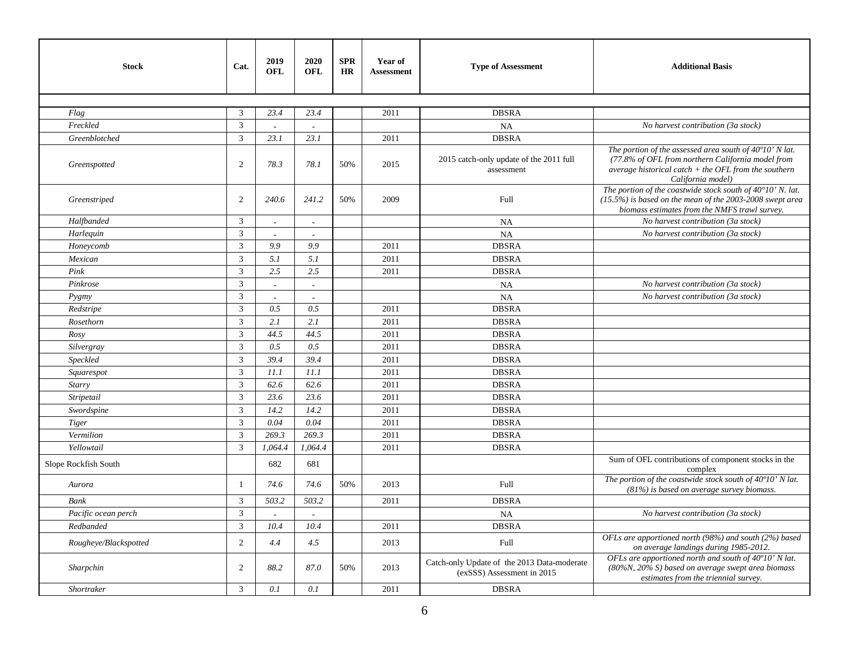| <b>Stock</b>          | Cat.                        | 2019<br>OFL | 2020<br><b>OFL</b> | <b>SPR</b><br><b>HR</b> | Year of<br><b>Assessment</b> | <b>Type of Assessment</b>                                                 | <b>Additional Basis</b>                                                                                                                                                                     |
|-----------------------|-----------------------------|-------------|--------------------|-------------------------|------------------------------|---------------------------------------------------------------------------|---------------------------------------------------------------------------------------------------------------------------------------------------------------------------------------------|
|                       |                             |             |                    |                         |                              |                                                                           |                                                                                                                                                                                             |
| Flag                  | 3                           | 23.4        | 23.4               |                         | 2011                         | <b>DBSRA</b>                                                              |                                                                                                                                                                                             |
| Freckled              | 3                           |             |                    |                         |                              | NA                                                                        | No harvest contribution (3a stock)                                                                                                                                                          |
| Greenblotched         | $\mathfrak{Z}$              | 23.1        | 23.1               |                         | 2011                         | <b>DBSRA</b>                                                              |                                                                                                                                                                                             |
| Greenspotted          | 2                           | 78.3        | 78.1               | 50%                     | 2015                         | 2015 catch-only update of the 2011 full<br>assessment                     | The portion of the assessed area south of 40°10' N lat.<br>(77.8% of OFL from northern California model from<br>average historical catch $+$ the OFL from the southern<br>California model) |
| Greenstriped          | 2                           | 240.6       | 241.2              | 50%                     | 2009                         | Full                                                                      | The portion of the coastwide stock south of $40^{\circ}10'$ N. lat.<br>$(15.5%)$ is based on the mean of the 2003-2008 swept area<br>biomass estimates from the NMFS trawl survey.          |
| Halfbanded            | 3                           | $\sim$      | $\sim$             |                         |                              | NA                                                                        | No harvest contribution (3a stock)                                                                                                                                                          |
| Harlequin             | 3                           |             |                    |                         |                              | NA                                                                        | No harvest contribution (3a stock)                                                                                                                                                          |
| Honeycomb             | 3                           | 9.9         | 9.9                |                         | 2011                         | <b>DBSRA</b>                                                              |                                                                                                                                                                                             |
| Mexican               | $\mathfrak{Z}$              | 5.1         | 5.1                |                         | 2011                         | <b>DBSRA</b>                                                              |                                                                                                                                                                                             |
| Pink                  | 3                           | 2.5         | 2.5                |                         | 2011                         | <b>DBSRA</b>                                                              |                                                                                                                                                                                             |
| Pinkrose              | 3                           |             |                    |                         |                              | NA                                                                        | No harvest contribution (3a stock)                                                                                                                                                          |
| Pygmy                 | $\ensuremath{\mathfrak{Z}}$ | $\sim$      | $\sim$             |                         |                              | NA                                                                        | No harvest contribution (3a stock)                                                                                                                                                          |
| Redstripe             | $\overline{3}$              | 0.5         | 0.5                |                         | 2011                         | <b>DBSRA</b>                                                              |                                                                                                                                                                                             |
| Rosethorn             | 3                           | 2.1         | 2.1                |                         | 2011                         | <b>DBSRA</b>                                                              |                                                                                                                                                                                             |
| Rosy                  | $\mathfrak{Z}$              | 44.5        | 44.5               |                         | 2011                         | <b>DBSRA</b>                                                              |                                                                                                                                                                                             |
| Silvergray            | 3                           | 0.5         | 0.5                |                         | 2011                         | <b>DBSRA</b>                                                              |                                                                                                                                                                                             |
| Speckled              | 3                           | 39.4        | 39.4               |                         | 2011                         | <b>DBSRA</b>                                                              |                                                                                                                                                                                             |
| Squarespot            | $\overline{3}$              | 11.1        | 11.1               |                         | 2011                         | <b>DBSRA</b>                                                              |                                                                                                                                                                                             |
| Starry                | 3                           | 62.6        | 62.6               |                         | 2011                         | <b>DBSRA</b>                                                              |                                                                                                                                                                                             |
| Stripetail            | $\mathfrak{Z}$              | 23.6        | 23.6               |                         | 2011                         | <b>DBSRA</b>                                                              |                                                                                                                                                                                             |
| Swordspine            | 3                           | 14.2        | 14.2               |                         | 2011                         | <b>DBSRA</b>                                                              |                                                                                                                                                                                             |
| <b>Tiger</b>          | 3                           | 0.04        | 0.04               |                         | 2011                         | <b>DBSRA</b>                                                              |                                                                                                                                                                                             |
| Vermilion             | $\mathfrak{Z}$              | 269.3       | 269.3              |                         | 2011                         | <b>DBSRA</b>                                                              |                                                                                                                                                                                             |
| Yellowtail            | $\overline{3}$              | 1,064.4     | 1,064.4            |                         | 2011                         | <b>DBSRA</b>                                                              |                                                                                                                                                                                             |
| Slope Rockfish South  |                             | 682         | 681                |                         |                              |                                                                           | Sum of OFL contributions of component stocks in the<br>complex                                                                                                                              |
| Aurora                | $\mathbf{1}$                | 74.6        | 74.6               | 50%                     | 2013                         | <b>Full</b>                                                               | The portion of the coastwide stock south of 40°10' N lat.<br>$(81%)$ is based on average survey biomass.                                                                                    |
| <b>Bank</b>           | 3                           | 503.2       | 503.2              |                         | 2011                         | <b>DBSRA</b>                                                              |                                                                                                                                                                                             |
| Pacific ocean perch   | $\mathfrak{Z}$              |             |                    |                         |                              | NA                                                                        | No harvest contribution (3a stock)                                                                                                                                                          |
| Redbanded             | 3                           | 10.4        | 10.4               |                         | 2011                         | <b>DBSRA</b>                                                              |                                                                                                                                                                                             |
| Rougheye/Blackspotted | 2                           | 4.4         | 4.5                |                         | 2013                         | Full                                                                      | OFLs are apportioned north (98%) and south (2%) based<br>on average landings during 1985-2012.                                                                                              |
| Sharpchin             | 2                           | 88.2        | 87.0               | 50%                     | 2013                         | Catch-only Update of the 2013 Data-moderate<br>(exSSS) Assessment in 2015 | OFLs are apportioned north and south of 40°10' N lat.<br>$(80\%N, 20\%S)$ based on average swept area biomass<br>estimates from the triennial survey.                                       |
| <b>Shortraker</b>     | 3                           | 0.1         | 0.1                |                         | 2011                         | <b>DBSRA</b>                                                              |                                                                                                                                                                                             |
|                       |                             |             |                    |                         |                              |                                                                           |                                                                                                                                                                                             |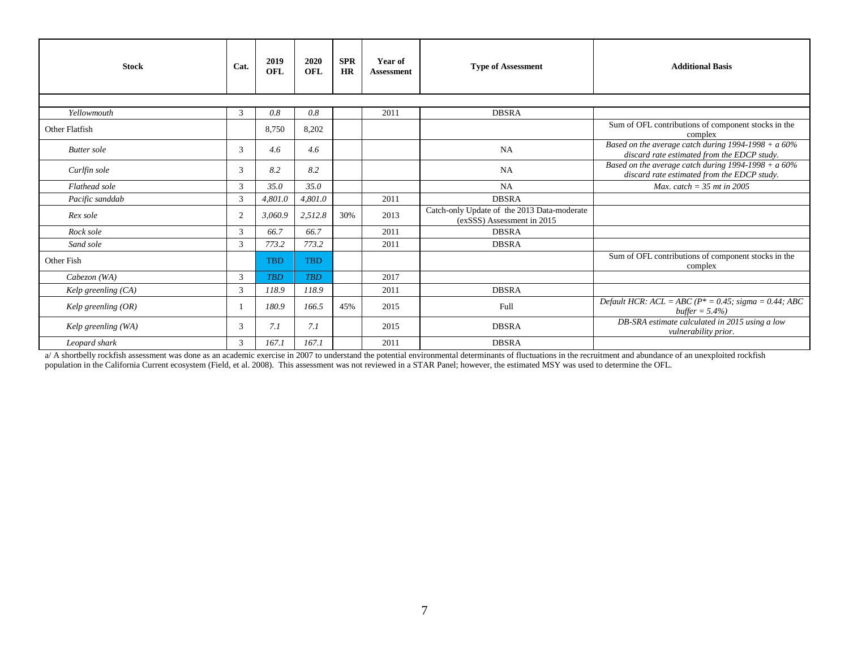| <b>Stock</b>          | Cat.           | 2019<br>OFL | 2020<br>OFL | <b>SPR</b><br><b>HR</b> | Year of<br><b>Assessment</b> | <b>Type of Assessment</b>                                                 | <b>Additional Basis</b>                                                                               |
|-----------------------|----------------|-------------|-------------|-------------------------|------------------------------|---------------------------------------------------------------------------|-------------------------------------------------------------------------------------------------------|
|                       |                |             |             |                         |                              |                                                                           |                                                                                                       |
| Yellowmouth           | 3              | 0.8         | 0.8         |                         | 2011                         | <b>DBSRA</b>                                                              |                                                                                                       |
| Other Flatfish        |                | 8,750       | 8,202       |                         |                              |                                                                           | Sum of OFL contributions of component stocks in the<br>complex                                        |
| <b>Butter</b> sole    | 3              | 4.6         | 4.6         |                         |                              | <b>NA</b>                                                                 | Based on the average catch during $1994-1998 + a 60\%$<br>discard rate estimated from the EDCP study. |
| Curlfin sole          | $\mathcal{R}$  | 8.2         | 8.2         |                         |                              | NA                                                                        | Based on the average catch during $1994-1998 + a 60\%$<br>discard rate estimated from the EDCP study. |
| Flathead sole         | 3              | 35.0        | 35.0        |                         |                              | <b>NA</b>                                                                 | Max. catch = $35$ mt in 2005                                                                          |
| Pacific sanddab       | 3              | 4,801.0     | 4,801.0     |                         | 2011                         | <b>DBSRA</b>                                                              |                                                                                                       |
| Rex sole              | 2              | 3,060.9     | 2,512.8     | 30%                     | 2013                         | Catch-only Update of the 2013 Data-moderate<br>(exSSS) Assessment in 2015 |                                                                                                       |
| Rock sole             | $\mathcal{R}$  | 66.7        | 66.7        |                         | 2011                         | <b>DBSRA</b>                                                              |                                                                                                       |
| Sand sole             | 3              | 773.2       | 773.2       |                         | 2011                         | <b>DBSRA</b>                                                              |                                                                                                       |
| Other Fish            |                | <b>TBD</b>  | <b>TBD</b>  |                         |                              |                                                                           | Sum of OFL contributions of component stocks in the<br>complex                                        |
| Cabezon (WA)          | 3              | <b>TBD</b>  | <b>TRD</b>  |                         | 2017                         |                                                                           |                                                                                                       |
| Kelp greenling $(CA)$ | 3              | 118.9       | 118.9       |                         | 2011                         | <b>DBSRA</b>                                                              |                                                                                                       |
| Kelp greenling $(OR)$ |                | 180.9       | 166.5       | 45%                     | 2015                         | Full                                                                      | Default HCR: $ACL = ABC$ ( $P^* = 0.45$ ; sigma = 0.44; ABC<br>buffer = $5.4\%$ )                     |
| Kelp greenling (WA)   | 3              | 7.1         | 7.1         |                         | 2015                         | <b>DBSRA</b>                                                              | DB-SRA estimate calculated in 2015 using a low<br><i>vulnerability prior.</i>                         |
| Leopard shark         | $\mathfrak{Z}$ | 167.1       | 167.1       |                         | 2011                         | <b>DBSRA</b>                                                              |                                                                                                       |

a/ A shortbelly rockfish assessment was done as an academic exercise in 2007 to understand the potential environmental determinants of fluctuations in the recruitment and abundance of an unexploited rockfish population in the California Current ecosystem (Field, et al. 2008). This assessment was not reviewed in a STAR Panel; however, the estimated MSY was used to determine the OFL.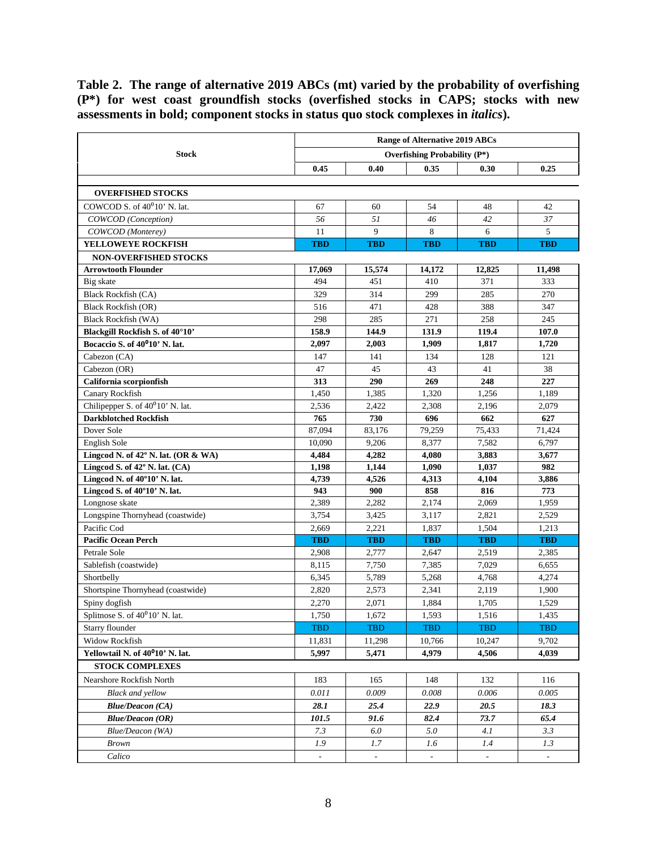<span id="page-7-0"></span>**Table 2. The range of alternative 2019 ABCs (mt) varied by the probability of overfishing (P\*) for west coast groundfish stocks (overfished stocks in CAPS; stocks with new assessments in bold; component stocks in status quo stock complexes in** *italics***).**

|                                               | <b>Range of Alternative 2019 ABCs</b> |                          |                                     |            |                          |  |  |  |
|-----------------------------------------------|---------------------------------------|--------------------------|-------------------------------------|------------|--------------------------|--|--|--|
| <b>Stock</b>                                  |                                       |                          | <b>Overfishing Probability (P*)</b> |            |                          |  |  |  |
|                                               | 0.45                                  | 0.40                     | 0.35                                | 0.30       | 0.25                     |  |  |  |
|                                               |                                       |                          |                                     |            |                          |  |  |  |
| <b>OVERFISHED STOCKS</b>                      |                                       |                          |                                     |            |                          |  |  |  |
| COWCOD S. of $40^010'$ N. lat.                | 67                                    | 60                       | 54                                  | 48         | 42                       |  |  |  |
| COWCOD (Conception)                           | 56                                    | 51                       | 46                                  | 42         | 37                       |  |  |  |
| COWCOD (Monterey)                             | 11                                    | 9                        | 8                                   | 6          | 5                        |  |  |  |
| YELLOWEYE ROCKFISH                            | <b>TBD</b>                            | <b>TBD</b>               | <b>TBD</b>                          | <b>TBD</b> | <b>TBD</b>               |  |  |  |
| <b>NON-OVERFISHED STOCKS</b>                  |                                       |                          |                                     |            |                          |  |  |  |
| <b>Arrowtooth Flounder</b>                    | 17.069                                | 15,574                   | 14,172                              | 12,825     | 11,498                   |  |  |  |
| Big skate                                     | 494                                   | 451                      | 410                                 | 371        | 333                      |  |  |  |
| <b>Black Rockfish (CA)</b>                    | 329                                   | 314                      | 299                                 | 285        | 270                      |  |  |  |
| <b>Black Rockfish (OR)</b>                    | 516                                   | 471                      | 428                                 | 388        | 347                      |  |  |  |
| <b>Black Rockfish (WA)</b>                    | 298                                   | 285                      | 271                                 | 258        | 245                      |  |  |  |
| Blackgill Rockfish S. of 40°10'               | 158.9                                 | 144.9                    | 131.9                               | 119.4      | 107.0                    |  |  |  |
| Bocaccio S. of 40 <sup>0</sup> 10' N. lat.    | 2,097                                 | 2,003                    | 1,909                               | 1,817      | 1,720                    |  |  |  |
| Cabezon (CA)                                  | 147                                   | 141                      | 134                                 | 128        | 121                      |  |  |  |
| Cabezon (OR)                                  | 47                                    | 45                       | 43                                  | 41         | 38                       |  |  |  |
| California scorpionfish                       | 313                                   | 290                      | 269                                 | 248        | 227                      |  |  |  |
| Canary Rockfish                               | 1,450                                 | 1,385                    | 1,320                               | 1,256      | 1,189                    |  |  |  |
| Chilipepper S. of 40 <sup>0</sup> 10' N. lat. | 2,536                                 | 2,422                    | 2,308                               | 2,196      | 2,079                    |  |  |  |
| <b>Darkblotched Rockfish</b>                  | 765                                   | 730                      | 696                                 | 662        | 627                      |  |  |  |
| Dover Sole                                    | 87,094                                | 83,176                   | 79,259                              | 75,433     | 71,424                   |  |  |  |
| English Sole                                  | 10,090                                | 9,206                    | 8,377                               | 7,582      | 6,797                    |  |  |  |
| Lingcod N. of 42° N. lat. (OR & WA)           | 4,484                                 | 4,282                    | 4,080                               | 3,883      | 3,677                    |  |  |  |
| Lingcod S. of 42° N. lat. (CA)                | 1,198                                 | 1,144                    | 1,090                               | 1,037      | 982                      |  |  |  |
| Lingcod N. of 40°10' N. lat.                  | 4,739                                 | 4,526                    | 4,313                               | 4,104      | 3,886                    |  |  |  |
| Lingcod S. of 40°10' N. lat.                  | 943                                   | 900                      | 858                                 | 816        | 773                      |  |  |  |
| Longnose skate                                | 2,389                                 | 2,282                    | 2,174                               | 2,069      | 1,959                    |  |  |  |
| Longspine Thornyhead (coastwide)              | 3,754                                 | 3,425                    | 3,117                               | 2,821      | 2,529                    |  |  |  |
| Pacific Cod                                   | 2,669                                 | 2,221                    | 1,837                               | 1,504      | 1,213                    |  |  |  |
| <b>Pacific Ocean Perch</b>                    | <b>TBD</b>                            | <b>TBD</b>               | <b>TBD</b>                          | <b>TBD</b> | <b>TBD</b>               |  |  |  |
| Petrale Sole                                  | 2,908                                 | 2,777                    | 2,647                               | 2,519      | 2,385                    |  |  |  |
| Sablefish (coastwide)                         | 8.115                                 | 7,750                    | 7,385                               | 7,029      | 6,655                    |  |  |  |
| Shortbelly                                    | 6,345                                 | 5,789                    | 5,268                               | 4,768      | 4,274                    |  |  |  |
| Shortspine Thornyhead (coastwide)             | 2,820                                 | 2,573                    | 2,341                               | 2.119      | 1,900                    |  |  |  |
| Spiny dogfish                                 | 2,270                                 | 2,071                    | 1,884                               | 1,705      | 1,529                    |  |  |  |
| Splitnose S. of $40^010'$ N. lat.             | 1,750                                 | 1,672                    | 1,593                               | 1,516      | 1,435                    |  |  |  |
| Starry flounder                               | <b>TBD</b>                            | <b>TBD</b>               | <b>TBD</b>                          | <b>TBD</b> | <b>TBD</b>               |  |  |  |
| <b>Widow Rockfish</b>                         | 11,831                                | 11,298                   | 10,766                              | 10,247     | 9,702                    |  |  |  |
| Yellowtail N. of 40 <sup>0</sup> 10' N. lat.  | 5,997                                 | 5,471                    | 4,979                               | 4,506      | 4,039                    |  |  |  |
| <b>STOCK COMPLEXES</b>                        |                                       |                          |                                     |            |                          |  |  |  |
| Nearshore Rockfish North                      | 183                                   | 165                      | 148                                 | 132        | 116                      |  |  |  |
| <b>Black and yellow</b>                       | 0.011                                 | 0.009                    | 0.008                               | 0.006      | 0.005                    |  |  |  |
| <b>Blue/Deacon (CA)</b>                       | 28.1                                  | 25.4                     | 22.9                                | 20.5       | 18.3                     |  |  |  |
| <b>Blue/Deacon (OR)</b>                       | 101.5                                 | 91.6                     | 82.4                                | 73.7       | 65.4                     |  |  |  |
| Blue/Deacon (WA)                              | 7.3                                   | 6.0                      | 5.0                                 | 4.1        | 3.3                      |  |  |  |
| <b>Brown</b>                                  | 1.9                                   | 1.7                      | 1.6                                 | 1.4        | 1.3                      |  |  |  |
| Calico                                        | $\overline{\phantom{a}}$              | $\overline{\phantom{a}}$ | $\overline{\phantom{a}}$            | ÷.         | $\overline{\phantom{a}}$ |  |  |  |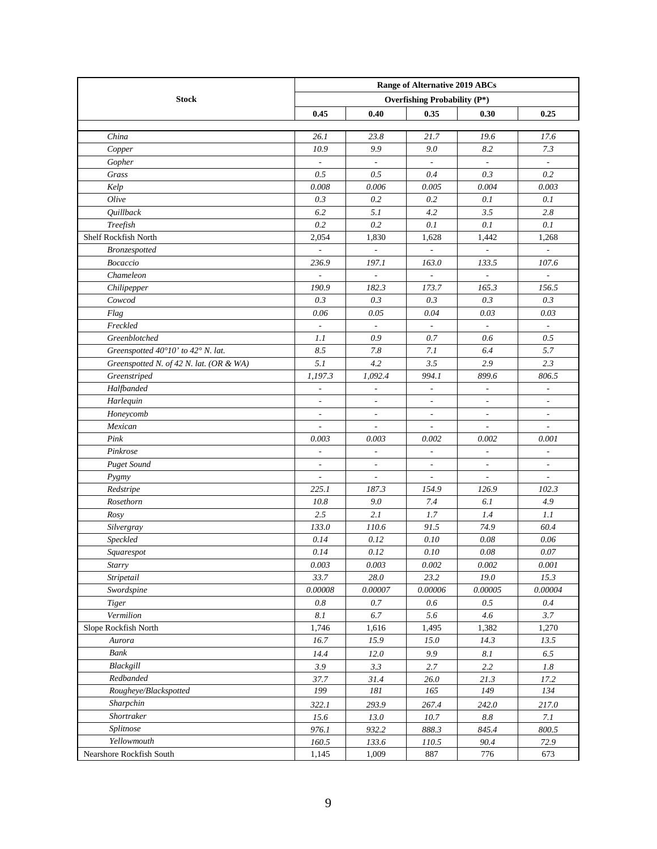|                                         | <b>Range of Alternative 2019 ABCs</b> |                          |                                     |                          |                          |  |  |  |
|-----------------------------------------|---------------------------------------|--------------------------|-------------------------------------|--------------------------|--------------------------|--|--|--|
| <b>Stock</b>                            |                                       |                          | <b>Overfishing Probability (P*)</b> |                          |                          |  |  |  |
|                                         | 0.45                                  | 0.40                     | 0.35                                | 0.30                     | 0.25                     |  |  |  |
|                                         |                                       |                          |                                     |                          |                          |  |  |  |
| China                                   | 26.1                                  | 23.8                     | 21.7                                | 19.6                     | 17.6                     |  |  |  |
| Copper                                  | 10.9                                  | 9.9                      | 9.0                                 | 8.2                      | 7.3                      |  |  |  |
| Gopher                                  | $\overline{\phantom{a}}$              | $\overline{\phantom{a}}$ | $\overline{\phantom{a}}$            | $\Box$                   | $\overline{\phantom{a}}$ |  |  |  |
| Grass                                   | 0.5                                   | 0.5                      | 0.4                                 | 0.3                      | 0.2                      |  |  |  |
| Kelp                                    | 0.008                                 | 0.006                    | 0.005                               | 0.004                    | 0.003                    |  |  |  |
| Olive                                   | 0.3                                   | 0.2                      | 0.2                                 | 0.1                      | 0.1                      |  |  |  |
| <b>Quillback</b>                        | 6.2                                   | 5.1                      | 4.2                                 | 3.5                      | 2.8                      |  |  |  |
| Treefish                                | 0.2                                   | 0.2                      | 0.1                                 | 0.1                      | 0.1                      |  |  |  |
| Shelf Rockfish North                    | 2,054                                 | 1,830                    | 1,628                               | 1,442                    | 1,268                    |  |  |  |
| <b>Bronzespotted</b>                    | $\overline{a}$                        | $\overline{\phantom{a}}$ |                                     | $\overline{\phantom{a}}$ |                          |  |  |  |
| <b>Bocaccio</b>                         | 236.9                                 | 197.1                    | 163.0                               | 133.5                    | 107.6                    |  |  |  |
| Chameleon                               | $\overline{\phantom{a}}$              | $\overline{\phantom{a}}$ |                                     | ÷                        | $\overline{\phantom{a}}$ |  |  |  |
| Chilipepper                             | 190.9                                 | 182.3                    | 173.7                               | 165.3                    | 156.5                    |  |  |  |
| Cowcod                                  | 0.3                                   | 0.3                      | 0.3                                 | 0.3                      | 0.3                      |  |  |  |
| Flag                                    | 0.06                                  | 0.05                     | 0.04                                | 0.03                     | 0.03                     |  |  |  |
| Freckled                                | $\overline{\phantom{a}}$              | $\overline{\phantom{a}}$ | $\overline{\phantom{a}}$            | $\overline{\phantom{a}}$ | $\overline{\phantom{a}}$ |  |  |  |
| Greenblotched                           | 1.1                                   | 0.9                      | 0.7                                 | 0.6                      | 0.5                      |  |  |  |
| Greenspotted 40°10' to 42° N. lat.      | 8.5                                   | 7.8                      | 7.1                                 | 6.4                      | 5.7                      |  |  |  |
| Greenspotted N. of 42 N. lat. (OR & WA) | 5.1                                   | 4.2                      | 3.5                                 | 2.9                      | 2.3                      |  |  |  |
| Greenstriped                            | 1,197.3                               | 1,092.4                  | 994.1                               | 899.6                    | 806.5                    |  |  |  |
| Halfbanded                              | $\overline{\phantom{a}}$              | $\frac{1}{2}$            | $\overline{\phantom{a}}$            | $\overline{\phantom{a}}$ | $\overline{\phantom{a}}$ |  |  |  |
| Harlequin                               | $\overline{\phantom{a}}$              | $\frac{1}{2}$            | $\overline{\phantom{a}}$            | $\overline{\phantom{a}}$ | $\overline{\phantom{a}}$ |  |  |  |
| Honeycomb                               | $\overline{\phantom{a}}$              | $\overline{\phantom{a}}$ | $\overline{\phantom{a}}$            | $\overline{\phantom{a}}$ | $\overline{\phantom{a}}$ |  |  |  |
| Mexican                                 | $\overline{\phantom{a}}$              | $\overline{a}$           | $\overline{\phantom{a}}$            | $\overline{\phantom{a}}$ | $\overline{\phantom{a}}$ |  |  |  |
| Pink                                    | 0.003                                 | 0.003                    | 0.002                               | 0.002                    | 0.001                    |  |  |  |
| Pinkrose                                | $\overline{\phantom{a}}$              | $\overline{\phantom{a}}$ | $\overline{\phantom{a}}$            | $\overline{\phantom{a}}$ | $\overline{\phantom{a}}$ |  |  |  |
| <b>Puget Sound</b>                      | $\overline{\phantom{a}}$              | $\overline{\phantom{a}}$ | $\overline{\phantom{a}}$            | $\overline{\phantom{a}}$ | $\overline{\phantom{a}}$ |  |  |  |
| Pygmy                                   | $\overline{\phantom{a}}$              | $\overline{a}$           | $\frac{1}{2}$                       | $\overline{a}$           | $\overline{a}$           |  |  |  |
| Redstripe                               | 225.1                                 | 187.3                    | 154.9                               | 126.9                    | 102.3                    |  |  |  |
| Rosethorn                               | 10.8                                  | 9.0                      | 7.4                                 | 6.1                      | 4.9                      |  |  |  |
| Rosy                                    | 2.5                                   | 2.1                      | 1.7                                 | 1.4                      | 1.1                      |  |  |  |
| Silvergray                              | 133.0                                 | 110.6                    | 91.5                                | 74.9                     | 60.4                     |  |  |  |
| Speckled                                | 0.14                                  | 0.12                     | 0.10                                | 0.08                     | 0.06                     |  |  |  |
| Squarespot                              | 0.14                                  | 0.12                     | 0.10                                | 0.08                     | 0.07                     |  |  |  |
| Starry                                  | 0.003                                 | 0.003                    | 0.002                               | 0.002                    | 0.001                    |  |  |  |
| Stripetail                              | 33.7                                  | $28.0\,$                 | 23.2                                | 19.0                     | 15.3                     |  |  |  |
| Swordspine                              | $0.00008\,$                           | 0.00007                  | 0.00006                             | 0.00005                  | 0.00004                  |  |  |  |
| <b>Tiger</b>                            | 0.8                                   | 0.7                      | 0.6                                 | 0.5                      | 0.4                      |  |  |  |
| Vermilion                               | $8.1\,$                               | 6.7                      | 5.6                                 | 4.6                      | 3.7                      |  |  |  |
| Slope Rockfish North                    | 1,746                                 | 1,616                    | 1,495                               | 1,382                    | 1,270                    |  |  |  |
| Aurora                                  | 16.7                                  | 15.9                     | 15.0                                | 14.3                     | 13.5                     |  |  |  |
| Bank                                    | 14.4                                  | 12.0                     | 9.9                                 | $8.1\,$                  | 6.5                      |  |  |  |
| Blackgill                               | 3.9                                   | 3.3                      | 2.7                                 | 2.2                      | $1.8\,$                  |  |  |  |
| Redbanded                               | 37.7                                  | 31.4                     | 26.0                                | 21.3                     | 17.2                     |  |  |  |
| Rougheye/Blackspotted                   | 199                                   | $181\,$                  | 165                                 | 149                      | 134                      |  |  |  |
| Sharpchin                               | 322.1                                 | 293.9                    | 267.4                               | 242.0                    | 217.0                    |  |  |  |
| Shortraker                              | 15.6                                  | 13.0                     | 10.7                                | $8.8\,$                  | 7.1                      |  |  |  |
| Splitnose                               | 976.1                                 | 932.2                    | 888.3                               | 845.4                    | 800.5                    |  |  |  |
| Yellowmouth                             | 160.5                                 | 133.6                    | 110.5                               | 90.4                     | 72.9                     |  |  |  |
| Nearshore Rockfish South                | 1,145                                 | 1,009                    | 887                                 | 776                      | 673                      |  |  |  |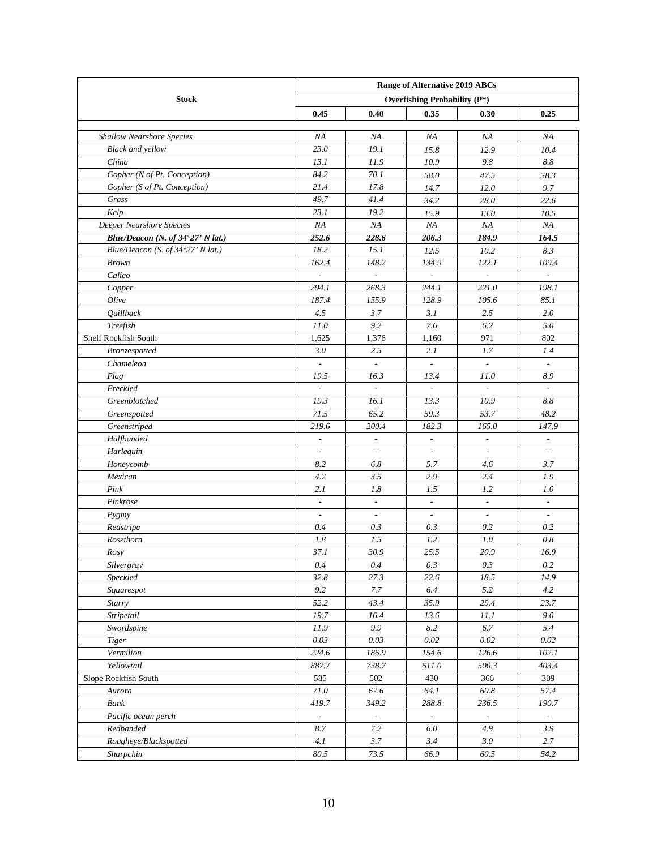|                                   | <b>Range of Alternative 2019 ABCs</b> |                          |                          |                          |                             |  |  |  |
|-----------------------------------|---------------------------------------|--------------------------|--------------------------|--------------------------|-----------------------------|--|--|--|
| <b>Stock</b>                      | <b>Overfishing Probability (P*)</b>   |                          |                          |                          |                             |  |  |  |
|                                   | 0.45                                  | 0.40                     | 0.35                     | 0.30                     | 0.25                        |  |  |  |
|                                   |                                       |                          |                          |                          |                             |  |  |  |
| <b>Shallow Nearshore Species</b>  | NA                                    | NA                       | NA                       | NA                       | NA                          |  |  |  |
| <b>Black and yellow</b>           | 23.0                                  | 19.1                     | 15.8                     | 12.9                     | 10.4                        |  |  |  |
| China                             | 13.1                                  | 11.9                     | 10.9                     | 9.8                      | 8.8                         |  |  |  |
| Gopher (N of Pt. Conception)      | 84.2                                  | 70.1                     | 58.0                     | 47.5                     | 38.3                        |  |  |  |
| Gopher (S of Pt. Conception)      | 21.4                                  | 17.8                     | 14.7                     | 12.0                     | 9.7                         |  |  |  |
| Grass                             | 49.7                                  | 41.4                     | 34.2                     | 28.0                     | 22.6                        |  |  |  |
| Kelp                              | 23.1                                  | 19.2                     | 15.9                     | 13.0                     | 10.5                        |  |  |  |
| Deeper Nearshore Species          | NA                                    | NA                       | ΝA                       | NA                       | NA                          |  |  |  |
| Blue/Deacon (N. of 34°27' N lat.) | 252.6                                 | 228.6                    | 206.3                    | 184.9                    | 164.5                       |  |  |  |
| Blue/Deacon (S. of 34°27' N lat.) | 18.2                                  | 15.1                     | 12.5                     | 10.2                     | 8.3                         |  |  |  |
| <b>Brown</b>                      | 162.4                                 | 148.2                    | 134.9                    | 122.1                    | 109.4                       |  |  |  |
| Calico                            | $\overline{\phantom{a}}$              | $\frac{1}{2}$            |                          | $\overline{\phantom{a}}$ | $\overline{\phantom{a}}$    |  |  |  |
| Copper                            | 294.1                                 | 268.3                    | 244.1                    | 221.0                    | 198.1                       |  |  |  |
| Olive                             | 187.4                                 | 155.9                    | 128.9                    | 105.6                    | 85.1                        |  |  |  |
| Quillback                         | 4.5                                   | 3.7                      | 3.1                      | 2.5                      | 2.0                         |  |  |  |
| Treefish                          | 11.0                                  | 9.2                      | 7.6                      | 6.2                      | 5.0                         |  |  |  |
| Shelf Rockfish South              | 1,625                                 | 1,376                    | 1,160                    | 971                      | 802                         |  |  |  |
| <b>Bronzespotted</b>              | 3.0                                   | 2.5                      | 2.1                      | 1.7                      | 1.4                         |  |  |  |
| Chameleon                         |                                       |                          |                          | $\overline{\phantom{a}}$ |                             |  |  |  |
| Flag                              | 19.5                                  | 16.3                     | 13.4                     | 11.0                     | 8.9                         |  |  |  |
| Freckled                          |                                       |                          |                          |                          |                             |  |  |  |
| Greenblotched                     | 19.3                                  | 16.1                     | 13.3                     | 10.9                     | 8.8                         |  |  |  |
| Greenspotted                      | 71.5                                  | 65.2                     | 59.3                     | 53.7                     | 48.2                        |  |  |  |
| Greenstriped                      | 219.6                                 | 200.4                    | 182.3                    | 165.0                    | 147.9                       |  |  |  |
| Halfbanded                        | $\overline{\phantom{a}}$              | $\overline{\phantom{a}}$ | $\overline{\phantom{a}}$ | $\overline{\phantom{a}}$ | $\overline{\phantom{a}}$    |  |  |  |
| Harlequin                         | $\overline{\phantom{a}}$              | $\overline{\phantom{a}}$ | $\overline{\phantom{a}}$ | ÷,                       | $\overline{\phantom{a}}$    |  |  |  |
| Honeycomb                         | 8.2                                   | 6.8                      | 5.7                      | 4.6                      | 3.7                         |  |  |  |
| Mexican                           | 4.2                                   | 3.5                      | 2.9                      | 2.4                      | 1.9                         |  |  |  |
| Pink                              | 2.1                                   | 1.8                      | 1.5                      | 1.2                      | 1.0                         |  |  |  |
| Pinkrose                          | $\overline{\phantom{a}}$              | $\overline{\phantom{a}}$ | $\overline{\phantom{a}}$ | $\overline{\phantom{a}}$ | $\overline{\phantom{a}}$    |  |  |  |
| Pygmy                             | $\overline{\phantom{a}}$              | $\overline{\phantom{a}}$ | $\overline{\phantom{a}}$ | $\overline{\phantom{a}}$ | $\overline{\phantom{a}}$    |  |  |  |
| Redstripe                         | 0.4                                   | 0.3                      | 0.3                      | 0.2                      | 0.2                         |  |  |  |
| Rosethorn                         | 1.8                                   | 1.5                      | 1.2                      | 1.0                      | 0.8                         |  |  |  |
| Rosy                              | 37.1                                  | 30.9                     | 25.5                     | 20.9                     | 16.9                        |  |  |  |
| Silvergray                        | $0.4\,$                               | 0.4                      | 0.3                      | 0.3                      | $0.2\,$                     |  |  |  |
| Speckled                          | 32.8                                  | 27.3                     | 22.6                     | 18.5                     | 14.9                        |  |  |  |
| Squarespot                        | 9.2                                   | 7.7                      | 6.4                      | 5.2                      | 4.2                         |  |  |  |
| Starry                            | 52.2                                  | 43.4                     | 35.9                     | 29.4                     | 23.7                        |  |  |  |
| Stripetail                        | 19.7                                  | 16.4                     | 13.6                     | 11.1                     | 9.0                         |  |  |  |
| Swordspine                        | $11.9\,$                              | 9.9                      | $8.2\,$                  | 6.7                      | 5.4                         |  |  |  |
| <b>Tiger</b>                      | $0.03\,$                              | 0.03                     | $0.02\,$                 | $0.02\,$                 | $0.02\,$                    |  |  |  |
| Vermilion                         | 224.6                                 | 186.9                    | 154.6                    | 126.6                    | 102.1                       |  |  |  |
| Yellowtail                        | 887.7                                 | 738.7                    | 611.0                    | 500.3                    | 403.4                       |  |  |  |
| Slope Rockfish South              | 585                                   | 502                      | 430                      | 366                      | 309                         |  |  |  |
| Aurora                            | 71.0                                  | 67.6                     | 64.1                     | 60.8                     | 57.4                        |  |  |  |
| Bank                              | 419.7                                 | 349.2                    | 288.8                    | 236.5                    | 190.7                       |  |  |  |
| Pacific ocean perch               | $\mathcal{L}^{\mathcal{A}}$           | $\mathbb{Z}$             | ä,                       | ÷.                       | $\mathcal{L}^{\mathcal{A}}$ |  |  |  |
| Redbanded                         | 8.7                                   | $7.2\,$                  | 6.0                      | 4.9                      | 3.9                         |  |  |  |
| Rougheye/Blackspotted             | 4.1                                   | 3.7                      | 3.4                      | $3.0\,$                  | 2.7                         |  |  |  |
| Sharpchin                         | 80.5                                  | 73.5                     | 66.9                     | 60.5                     | 54.2                        |  |  |  |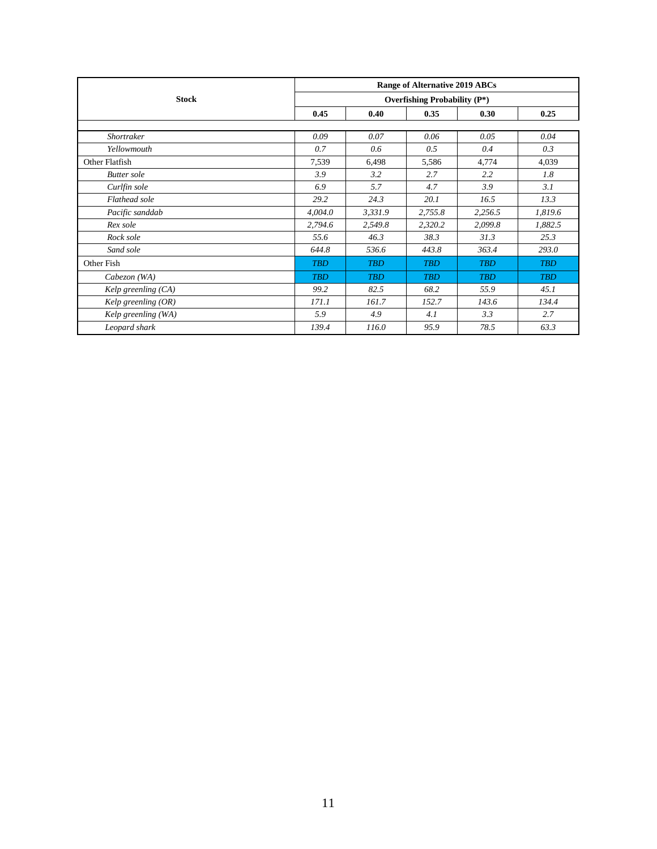|                       | <b>Range of Alternative 2019 ABCs</b><br><b>Overfishing Probability (P*)</b> |            |            |            |            |  |  |  |
|-----------------------|------------------------------------------------------------------------------|------------|------------|------------|------------|--|--|--|
| <b>Stock</b>          |                                                                              |            |            |            |            |  |  |  |
|                       | 0.45                                                                         | 0.40       | 0.35       | 0.30       | 0.25       |  |  |  |
|                       |                                                                              |            |            |            |            |  |  |  |
| <b>Shortraker</b>     | 0.09                                                                         | 0.07       | 0.06       | 0.05       | 0.04       |  |  |  |
| Yellowmouth           | 0.7                                                                          | 0.6        | 0.5        | 0.4        | 0.3        |  |  |  |
| Other Flatfish        | 7,539                                                                        | 6,498      | 5,586      | 4,774      | 4,039      |  |  |  |
| <b>Butter</b> sole    | 3.9                                                                          | 3.2        | 2.7        | 2.2        | 1.8        |  |  |  |
| Curlfin sole          | 6.9                                                                          | 5.7        | 4.7        | 3.9        | 3.1        |  |  |  |
| Flathead sole         | 29.2                                                                         | 24.3       | 20.1       | 16.5       | 13.3       |  |  |  |
| Pacific sanddab       | 4,004.0                                                                      | 3,331.9    | 2,755.8    | 2,256.5    | 1,819.6    |  |  |  |
| Rex sole              | 2,794.6                                                                      | 2,549.8    | 2,320.2    | 2,099.8    | 1,882.5    |  |  |  |
| Rock sole             | 55.6                                                                         | 46.3       | 38.3       | 31.3       | 25.3       |  |  |  |
| Sand sole             | 644.8                                                                        | 536.6      | 443.8      | 363.4      | 293.0      |  |  |  |
| Other Fish            | <b>TBD</b>                                                                   | <b>TBD</b> | <b>TRD</b> | <b>TRD</b> | <b>TBD</b> |  |  |  |
| Cabezon (WA)          | <b>TBD</b>                                                                   | <b>TBD</b> | <b>TBD</b> | <b>TRD</b> | <b>TBD</b> |  |  |  |
| Kelp greenling $(CA)$ | 99.2                                                                         | 82.5       | 68.2       | 55.9       | 45.1       |  |  |  |
| Kelp greenling $(OR)$ | 171.1                                                                        | 161.7      | 152.7      | 143.6      | 134.4      |  |  |  |
| Kelp greenling (WA)   | 5.9                                                                          | 4.9        | 4.1        | 3.3        | 2.7        |  |  |  |
| Leopard shark         | 139.4                                                                        | 116.0      | 95.9       | 78.5       | 63.3       |  |  |  |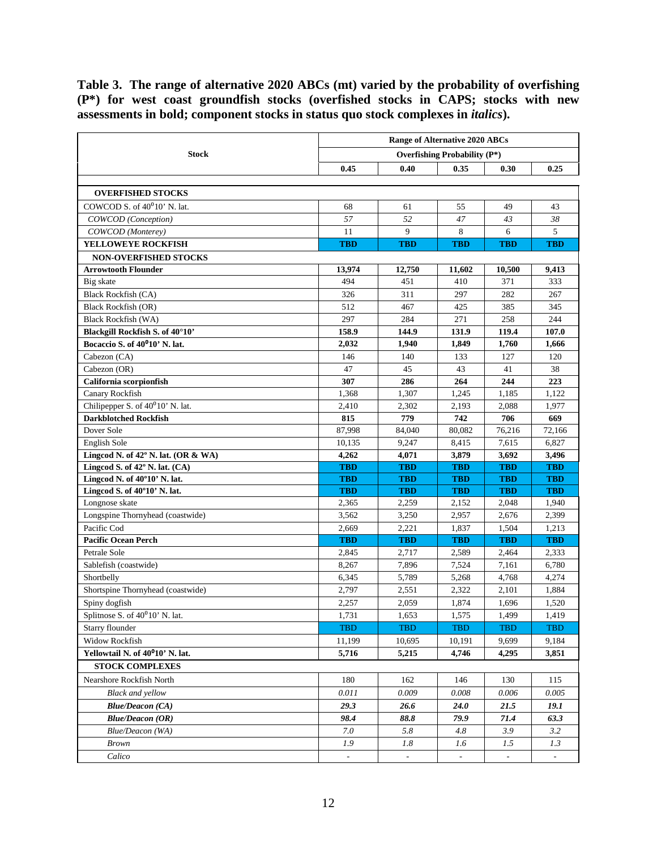<span id="page-11-0"></span>**Table 3. The range of alternative 2020 ABCs (mt) varied by the probability of overfishing (P\*) for west coast groundfish stocks (overfished stocks in CAPS; stocks with new assessments in bold; component stocks in status quo stock complexes in** *italics***).**

|                                                 | <b>Range of Alternative 2020 ABCs</b> |                |                                 |                |            |  |  |  |
|-------------------------------------------------|---------------------------------------|----------------|---------------------------------|----------------|------------|--|--|--|
| <b>Stock</b>                                    |                                       |                | Overfishing Probability $(P^*)$ |                |            |  |  |  |
|                                                 | 0.45                                  | 0.40           | 0.35                            | 0.30           | 0.25       |  |  |  |
|                                                 |                                       |                |                                 |                |            |  |  |  |
| <b>OVERFISHED STOCKS</b>                        |                                       |                |                                 |                |            |  |  |  |
| COWCOD S. of 40 <sup>0</sup> 10' N. lat.        | 68                                    | 61             | 55                              | 49             | 43         |  |  |  |
| COWCOD (Conception)                             | 57                                    | 52             | 47                              | 43             | 38         |  |  |  |
| COWCOD (Monterey)                               | 11                                    | 9              | 8                               | 6              | 5          |  |  |  |
| <b>YELLOWEYE ROCKFISH</b>                       | <b>TBD</b>                            | <b>TBD</b>     | <b>TBD</b>                      | <b>TBD</b>     | <b>TBD</b> |  |  |  |
| <b>NON-OVERFISHED STOCKS</b>                    |                                       |                |                                 |                |            |  |  |  |
| <b>Arrowtooth Flounder</b>                      | 13,974                                | 12.750         | 11,602                          | 10,500         | 9,413      |  |  |  |
| Big skate                                       | 494                                   | 451            | 410                             | 371            | 333        |  |  |  |
| Black Rockfish (CA)                             | 326                                   | 311            | 297                             | 282            | 267        |  |  |  |
| <b>Black Rockfish (OR)</b>                      | 512                                   | 467            | 425                             | 385            | 345        |  |  |  |
| <b>Black Rockfish (WA)</b>                      | 297                                   | 284            | 271                             | 258            | 244        |  |  |  |
| Blackgill Rockfish S. of 40°10'                 | 158.9                                 | 144.9          | 131.9                           | 119.4          | 107.0      |  |  |  |
| Bocaccio S. of 40 <sup>0</sup> 10' N. lat.      | 2,032                                 | 1,940          | 1,849                           | 1,760          | 1,666      |  |  |  |
| Cabezon (CA)                                    | 146                                   | 140            | 133                             | 127            | 120        |  |  |  |
| Cabezon (OR)                                    | 47                                    | 45             | 43                              | 41             | 38         |  |  |  |
| California scorpionfish                         | 307                                   | 286            | 264                             | 244            | 223        |  |  |  |
| Canary Rockfish                                 | 1,368                                 | 1,307          | 1,245                           | 1,185          | 1,122      |  |  |  |
| Chilipepper S. of 40 <sup>0</sup> 10' N. lat.   | 2,410                                 | 2,302          | 2,193                           | 2,088          | 1,977      |  |  |  |
| <b>Darkblotched Rockfish</b>                    | 815                                   | 779            | 742                             | 706            | 669        |  |  |  |
| Dover Sole                                      | 87,998                                | 84,040         | 80,082                          | 76,216         | 72,166     |  |  |  |
| English Sole                                    | 10,135                                | 9.247          | 8,415                           | 7,615          | 6,827      |  |  |  |
| Lingcod N. of 42° N. lat. (OR & WA)             | 4,262                                 | 4,071          | 3,879                           | 3,692          | 3,496      |  |  |  |
| Lingcod S. of 42° N. lat. (CA)                  | <b>TBD</b>                            | <b>TBD</b>     | <b>TBD</b>                      | <b>TBD</b>     | <b>TBD</b> |  |  |  |
| Lingcod N. of 40°10' N. lat.                    | <b>TBD</b>                            | <b>TBD</b>     | <b>TBD</b>                      | <b>TBD</b>     | <b>TBD</b> |  |  |  |
| Lingcod S. of 40°10' N. lat.                    | <b>TBD</b>                            | <b>TBD</b>     | <b>TBD</b>                      | <b>TBD</b>     | <b>TBD</b> |  |  |  |
| Longnose skate                                  | 2,365                                 | 2,259          | 2,152                           | 2,048          | 1,940      |  |  |  |
| Longspine Thornyhead (coastwide)                | 3,562                                 | 3,250          | 2,957                           | 2,676          | 2,399      |  |  |  |
| Pacific Cod                                     | 2,669                                 | 2,221          | 1,837                           | 1,504          | 1,213      |  |  |  |
| <b>Pacific Ocean Perch</b><br>Petrale Sole      | <b>TBD</b>                            | <b>TBD</b>     | <b>TBD</b>                      | <b>TBD</b>     | <b>TBD</b> |  |  |  |
|                                                 | 2,845                                 | 2,717          | 2,589                           | 2,464          | 2,333      |  |  |  |
| Sablefish (coastwide)                           | 8,267                                 | 7,896          | 7,524                           | 7,161          | 6,780      |  |  |  |
| Shortbelly                                      | 6,345                                 | 5,789          | 5,268                           | 4,768          | 4,274      |  |  |  |
| Shortspine Thornyhead (coastwide)               | 2,797                                 | 2,551          | 2,322                           | 2,101          | 1,884      |  |  |  |
| Spiny dogfish<br>Splitnose S. of 40°10' N. lat. | 2,257<br>1,731                        | 2,059<br>1,653 | 1,874<br>1,575                  | 1,696<br>1,499 | 1,520      |  |  |  |
|                                                 |                                       |                |                                 |                | 1,419      |  |  |  |
| Starry flounder                                 | <b>TBD</b>                            | <b>TBD</b>     | <b>TBD</b>                      | TBD            | TBD        |  |  |  |
| Widow Rockfish                                  | 11,199                                | 10,695         | 10,191                          | 9,699          | 9,184      |  |  |  |
| Yellowtail N. of 40 <sup>0</sup> 10' N. lat.    | 5,716                                 | 5,215          | 4,746                           | 4,295          | 3,851      |  |  |  |
| <b>STOCK COMPLEXES</b>                          |                                       |                |                                 |                |            |  |  |  |
| Nearshore Rockfish North                        | 180                                   | 162            | 146                             | 130            | 115        |  |  |  |
| <b>Black and yellow</b>                         | 0.011                                 | 0.009          | 0.008                           | 0.006          | 0.005      |  |  |  |
| <b>Blue/Deacon (CA)</b>                         | 29.3                                  | 26.6           | 24.0                            | 21.5           | 19.1       |  |  |  |
| <b>Blue/Deacon (OR)</b>                         | 98.4                                  | 88.8           | 79.9                            | 71.4           | 63.3       |  |  |  |
| Blue/Deacon (WA)                                | 7.0                                   | 5.8            | 4.8                             | 3.9            | 3.2        |  |  |  |
| <b>Brown</b>                                    | 1.9                                   | 1.8            | 1.6                             | 1.5            | 1.3        |  |  |  |
| Calico                                          |                                       |                |                                 |                |            |  |  |  |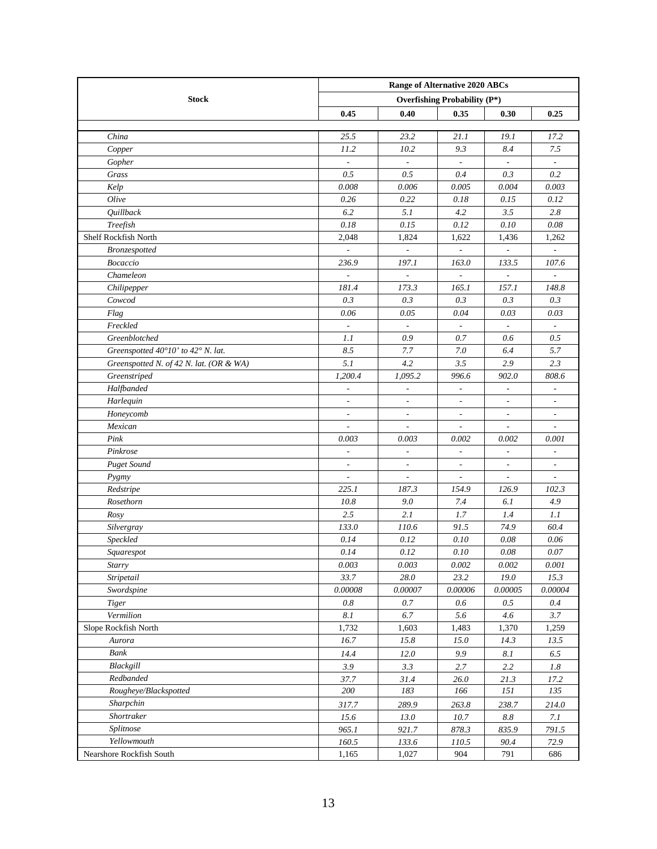|                                         | <b>Range of Alternative 2020 ABCs</b> |                          |                                     |                          |                          |  |  |  |
|-----------------------------------------|---------------------------------------|--------------------------|-------------------------------------|--------------------------|--------------------------|--|--|--|
| <b>Stock</b>                            |                                       |                          | <b>Overfishing Probability (P*)</b> |                          |                          |  |  |  |
|                                         | 0.45                                  | 0.40                     | 0.35                                | 0.30                     | 0.25                     |  |  |  |
|                                         |                                       |                          |                                     |                          |                          |  |  |  |
| China                                   | 25.5                                  | 23.2                     | 21.1                                | 19.1                     | 17.2                     |  |  |  |
| Copper                                  | 11.2                                  | 10.2                     | 9.3                                 | 8.4                      | 7.5                      |  |  |  |
| Gopher                                  | $\overline{\phantom{a}}$              | $\overline{\phantom{a}}$ | $\overline{\phantom{a}}$            | $\overline{\phantom{a}}$ | $\overline{\phantom{a}}$ |  |  |  |
| Grass                                   | 0.5                                   | 0.5                      | 0.4                                 | 0.3                      | 0.2                      |  |  |  |
| Kelp                                    | 0.008                                 | 0.006                    | 0.005                               | 0.004                    | 0.003                    |  |  |  |
| Olive                                   | 0.26                                  | 0.22                     | 0.18                                | 0.15                     | 0.12                     |  |  |  |
| <b>Quillback</b>                        | 6.2                                   | 5.1                      | 4.2                                 | 3.5                      | 2.8                      |  |  |  |
| Treefish                                | $0.18\,$                              | 0.15                     | 0.12                                | $0.10\,$                 | 0.08                     |  |  |  |
| Shelf Rockfish North                    | 2,048                                 | 1,824                    | 1,622                               | 1,436                    | 1,262                    |  |  |  |
| <b>Bronzespotted</b>                    |                                       |                          | ÷                                   | ÷.                       |                          |  |  |  |
| Bocaccio                                | 236.9                                 | 197.1                    | 163.0                               | 133.5                    | 107.6                    |  |  |  |
| Chameleon                               | $\overline{a}$                        | $\sim$                   | $\overline{\phantom{a}}$            | $\overline{a}$           |                          |  |  |  |
| Chilipepper                             | 181.4                                 | 173.3                    | 165.1                               | 157.1                    | 148.8                    |  |  |  |
| Cowcod                                  | 0.3                                   | 0.3                      | 0.3                                 | 0.3                      | 0.3                      |  |  |  |
| Flag                                    | 0.06                                  | 0.05                     | 0.04                                | 0.03                     | 0.03                     |  |  |  |
| Freckled                                |                                       |                          |                                     |                          |                          |  |  |  |
| Greenblotched                           | 1.1                                   | 0.9                      | 0.7                                 | 0.6                      | 0.5                      |  |  |  |
| Greenspotted 40°10' to 42° N. lat.      | 8.5                                   | 7.7                      | 7.0                                 | 6.4                      | 5.7                      |  |  |  |
| Greenspotted N. of 42 N. lat. (OR & WA) | 5.1                                   | 4.2                      | 3.5                                 | 2.9                      | 2.3                      |  |  |  |
| Greenstriped                            | 1,200.4                               | 1,095.2                  | 996.6                               | 902.0                    | 808.6                    |  |  |  |
| Halfbanded                              | $\frac{1}{2}$                         | $\overline{\phantom{a}}$ | $\overline{\phantom{a}}$            | $\overline{a}$           | $\overline{a}$           |  |  |  |
| Harlequin                               | $\overline{\phantom{a}}$              | $\overline{\phantom{a}}$ | $\overline{\phantom{a}}$            | $\overline{\phantom{a}}$ | $\overline{\phantom{a}}$ |  |  |  |
| Honeycomb                               | $\overline{\phantom{a}}$              | $\overline{\phantom{a}}$ | $\overline{\phantom{a}}$            | $\overline{\phantom{a}}$ | $\overline{\phantom{a}}$ |  |  |  |
| Mexican                                 | $\sim$                                | $\overline{\phantom{a}}$ | $\overline{\phantom{a}}$            | $\overline{a}$           | $\overline{\phantom{a}}$ |  |  |  |
| Pink                                    | 0.003                                 | 0.003                    | 0.002                               | 0.002                    | 0.001                    |  |  |  |
| Pinkrose                                | $\overline{\phantom{a}}$              | $\overline{\phantom{a}}$ | $\overline{\phantom{a}}$            | $\overline{\phantom{a}}$ | $\overline{\phantom{a}}$ |  |  |  |
| <b>Puget Sound</b>                      | $\overline{\phantom{a}}$              | $\overline{\phantom{a}}$ | $\overline{\phantom{a}}$            | $\frac{1}{2}$            | $\frac{1}{2}$            |  |  |  |
| Pygmy                                   | $\overline{\phantom{a}}$              | $\overline{\phantom{a}}$ | $\overline{\phantom{a}}$            | $\overline{\phantom{a}}$ | $\overline{\phantom{a}}$ |  |  |  |
| Redstripe                               | 225.1                                 | 187.3                    | 154.9                               | 126.9                    | 102.3                    |  |  |  |
| Rosethorn                               | 10.8                                  | 9.0                      | 7.4                                 | 6.1                      | 4.9                      |  |  |  |
| Rosy                                    | 2.5                                   | 2.1                      | 1.7                                 | 1.4                      | 1.1                      |  |  |  |
| Silvergray                              | 133.0                                 | 110.6                    | 91.5                                | 74.9                     | 60.4                     |  |  |  |
| Speckled                                | 0.14                                  | 0.12                     | 0.10                                | 0.08                     | 0.06                     |  |  |  |
| Squarespot                              | 0.14                                  | 0.12                     | 0.10                                | 0.08                     | $0.07\,$                 |  |  |  |
| Starry                                  | 0.003                                 | 0.003                    | 0.002                               | 0.002                    | 0.001                    |  |  |  |
| Stripetail                              | 33.7                                  | $28.0\,$                 | 23.2                                | 19.0                     | 15.3                     |  |  |  |
| Swordspine                              | 0.00008                               | 0.00007                  | 0.00006                             | 0.00005                  | 0.00004                  |  |  |  |
| Tiger                                   | 0.8                                   | 0.7                      | 0.6                                 | 0.5                      | 0.4                      |  |  |  |
| Vermilion                               | 8.1                                   | 6.7                      | 5.6                                 | 4.6                      | 3.7                      |  |  |  |
| Slope Rockfish North                    | 1,732                                 | 1,603                    | 1,483                               | 1,370                    | 1,259                    |  |  |  |
| Aurora                                  | 16.7                                  | 15.8                     | $15.0$                              | 14.3                     | 13.5                     |  |  |  |
| Bank                                    | 14.4                                  | 12.0                     | 9.9                                 | 8.1                      | 6.5                      |  |  |  |
| Blackgill                               | 3.9                                   | 3.3                      | 2.7                                 | 2.2                      | $1.8\,$                  |  |  |  |
| Redbanded                               | 37.7                                  | 31.4                     | 26.0                                | 21.3                     | 17.2                     |  |  |  |
| Rougheye/Blackspotted                   | 200                                   | 183                      | 166                                 | 151                      | 135                      |  |  |  |
| Sharpchin                               | 317.7                                 | 289.9                    | 263.8                               | 238.7                    | 214.0                    |  |  |  |
| Shortraker                              | 15.6                                  | 13.0                     | 10.7                                | 8.8                      | 7.1                      |  |  |  |
| Splitnose                               | 965.1                                 | 921.7                    | 878.3                               | 835.9                    | 791.5                    |  |  |  |
| Yellowmouth                             | 160.5                                 | 133.6                    | 110.5                               | 90.4                     | 72.9                     |  |  |  |
| Nearshore Rockfish South                | 1,165                                 | 1,027                    | 904                                 | 791                      | 686                      |  |  |  |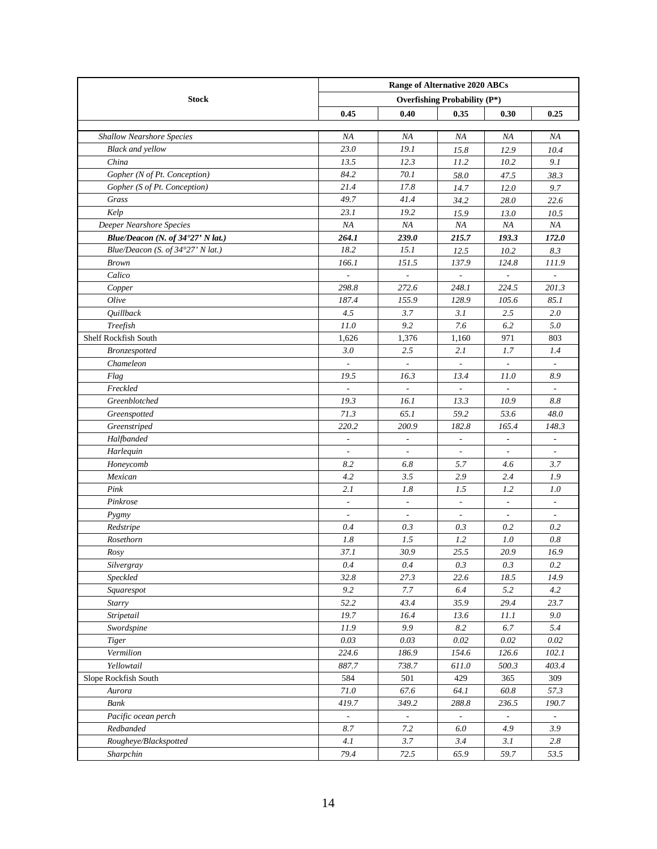|                                   | Range of Alternative 2020 ABCs      |                          |                          |                          |                          |  |  |  |  |  |
|-----------------------------------|-------------------------------------|--------------------------|--------------------------|--------------------------|--------------------------|--|--|--|--|--|
| <b>Stock</b>                      | <b>Overfishing Probability (P*)</b> |                          |                          |                          |                          |  |  |  |  |  |
|                                   | 0.45                                | 0.40                     | 0.35                     | 0.30                     | 0.25                     |  |  |  |  |  |
|                                   |                                     |                          |                          |                          |                          |  |  |  |  |  |
| <b>Shallow Nearshore Species</b>  | NA                                  | NA                       | ΝA                       | NA                       | NA                       |  |  |  |  |  |
| <b>Black and yellow</b>           | 23.0                                | 19.1                     | 15.8                     | 12.9                     | 10.4                     |  |  |  |  |  |
| China                             | 13.5                                | 12.3                     | 11.2                     | 10.2                     | 9.1                      |  |  |  |  |  |
| Gopher (N of Pt. Conception)      | 84.2                                | 70.1                     | 58.0                     | 47.5                     | 38.3                     |  |  |  |  |  |
| Gopher (S of Pt. Conception)      | 21.4                                | 17.8                     | 14.7                     | 12.0                     | 9.7                      |  |  |  |  |  |
| Grass                             | 49.7                                | 41.4                     | 34.2                     | 28.0                     | 22.6                     |  |  |  |  |  |
| Kelp                              | 23.1                                | 19.2                     | 15.9                     | 13.0                     | 10.5                     |  |  |  |  |  |
| Deeper Nearshore Species          | NA                                  | NA                       | NA                       | NA                       | NA                       |  |  |  |  |  |
| Blue/Deacon (N. of 34°27' N lat.) | 264.1                               | 239.0                    | 215.7                    | 193.3                    | 172.0                    |  |  |  |  |  |
| Blue/Deacon (S. of 34°27' N lat.) | 18.2                                | 15.1                     | 12.5                     | 10.2                     | 8.3                      |  |  |  |  |  |
| <b>Brown</b>                      | 166.1                               | 151.5                    | 137.9                    | 124.8                    | 111.9                    |  |  |  |  |  |
| Calico                            | $\overline{a}$                      | $\overline{\phantom{a}}$ | $\overline{\phantom{a}}$ | $\frac{1}{2}$            |                          |  |  |  |  |  |
| Copper                            | 298.8                               | 272.6                    | 248.1                    | 224.5                    | 201.3                    |  |  |  |  |  |
| Olive                             | 187.4                               | 155.9                    | 128.9                    | 105.6                    | 85.1                     |  |  |  |  |  |
| Quillback                         | 4.5                                 | 3.7                      | 3.1                      | 2.5                      | 2.0                      |  |  |  |  |  |
| Treefish                          | 11.0                                | 9.2                      | 7.6                      | 6.2                      | 5.0                      |  |  |  |  |  |
| Shelf Rockfish South              | 1,626                               | 1,376                    | 1,160                    | 971                      | 803                      |  |  |  |  |  |
| <b>Bronzespotted</b>              | 3.0                                 | 2.5                      | 2.1                      | 1.7                      | 1.4                      |  |  |  |  |  |
| Chameleon                         |                                     |                          |                          |                          |                          |  |  |  |  |  |
| Flag                              | 19.5                                | 16.3                     | 13.4                     | 11.0                     | 8.9                      |  |  |  |  |  |
| Freckled                          |                                     |                          |                          |                          |                          |  |  |  |  |  |
| Greenblotched                     | 19.3                                | 16.1                     | 13.3                     | 10.9                     | 8.8                      |  |  |  |  |  |
| Greenspotted                      | 71.3                                | 65.1                     | 59.2                     | 53.6                     | 48.0                     |  |  |  |  |  |
| Greenstriped                      | 220.2                               | 200.9                    | 182.8                    | 165.4                    | 148.3                    |  |  |  |  |  |
| Halfbanded                        | $\overline{\phantom{a}}$            | $\overline{\phantom{a}}$ | $\overline{\phantom{a}}$ | $\overline{\phantom{a}}$ | $\overline{\phantom{a}}$ |  |  |  |  |  |
| Harlequin                         | $\overline{\phantom{a}}$            | $\overline{\phantom{a}}$ | $\overline{\phantom{a}}$ | $\omega$                 | $\overline{\phantom{a}}$ |  |  |  |  |  |
| Honeycomb                         | 8.2                                 | 6.8                      | 5.7                      | 4.6                      | 3.7                      |  |  |  |  |  |
| Mexican                           | 4.2                                 | 3.5                      | 2.9                      | 2.4                      | 1.9                      |  |  |  |  |  |
| Pink                              | 2.1                                 | 1.8                      | 1.5                      | 1.2                      | 1.0                      |  |  |  |  |  |
| Pinkrose                          | $\overline{\phantom{a}}$            | $\overline{\phantom{a}}$ | $\overline{\phantom{a}}$ | $\overline{\phantom{a}}$ | $\overline{\phantom{a}}$ |  |  |  |  |  |
| Pygmy                             | $\overline{\phantom{a}}$            | $\overline{\phantom{a}}$ | $\overline{\phantom{a}}$ | $\overline{\phantom{a}}$ | $\overline{\phantom{a}}$ |  |  |  |  |  |
| Redstripe                         | 0.4                                 | 0.3                      | 0.3                      | 0.2                      | 0.2                      |  |  |  |  |  |
| Rosethorn                         | 1.8                                 | 1.5                      | 1.2                      | 1.0                      | 0.8                      |  |  |  |  |  |
| Rosy                              | 37.1                                | 30.9                     | 25.5                     | 20.9                     | 16.9                     |  |  |  |  |  |
| Silvergray                        | $0.4\,$                             | $0.4\,$                  | $0.3\,$                  | $0.3\,$                  | $0.2\,$                  |  |  |  |  |  |
| Speckled                          | 32.8                                | 27.3                     | 22.6                     | 18.5                     | 14.9                     |  |  |  |  |  |
| Squarespot                        | 9.2                                 | 7.7                      | 6.4                      | 5.2                      | 4.2                      |  |  |  |  |  |
| Starry                            | 52.2                                | 43.4                     | 35.9                     | 29.4                     | 23.7                     |  |  |  |  |  |
| Stripetail                        | 19.7                                | 16.4                     | 13.6                     | 11.1                     | 9.0                      |  |  |  |  |  |
| Swordspine                        | 11.9                                | 9.9                      | 8.2                      | $6.7\,$                  | 5.4                      |  |  |  |  |  |
| <b>Tiger</b>                      | $0.03\,$                            | 0.03                     | $0.02\,$                 | $0.02\,$                 | $0.02\,$                 |  |  |  |  |  |
| Vermilion                         | 224.6                               | 186.9                    | 154.6                    | 126.6                    | 102.1                    |  |  |  |  |  |
| Yellowtail                        | 887.7                               | 738.7                    | 611.0                    | 500.3                    | 403.4                    |  |  |  |  |  |
| Slope Rockfish South              | 584                                 | 501                      | 429                      | 365                      | 309                      |  |  |  |  |  |
| Aurora                            | $71.0\,$                            | 67.6                     | 64.1                     | 60.8                     | 57.3                     |  |  |  |  |  |
| Bank                              | 419.7                               | 349.2                    | 288.8                    | 236.5                    | 190.7                    |  |  |  |  |  |
| Pacific ocean perch               | $\mathbb{Z}^2$                      | $\omega$                 | ÷.                       | ÷.                       | $\omega$                 |  |  |  |  |  |
| Redbanded                         | 8.7                                 | $7.2\,$                  | 6.0                      | 4.9                      | 3.9                      |  |  |  |  |  |
| Rougheye/Blackspotted             | 4.1                                 | 3.7                      | 3.4                      | 3.1                      | $2.8\,$                  |  |  |  |  |  |
| Sharpchin                         | 79.4                                | 72.5                     | 65.9                     | 59.7                     | 53.5                     |  |  |  |  |  |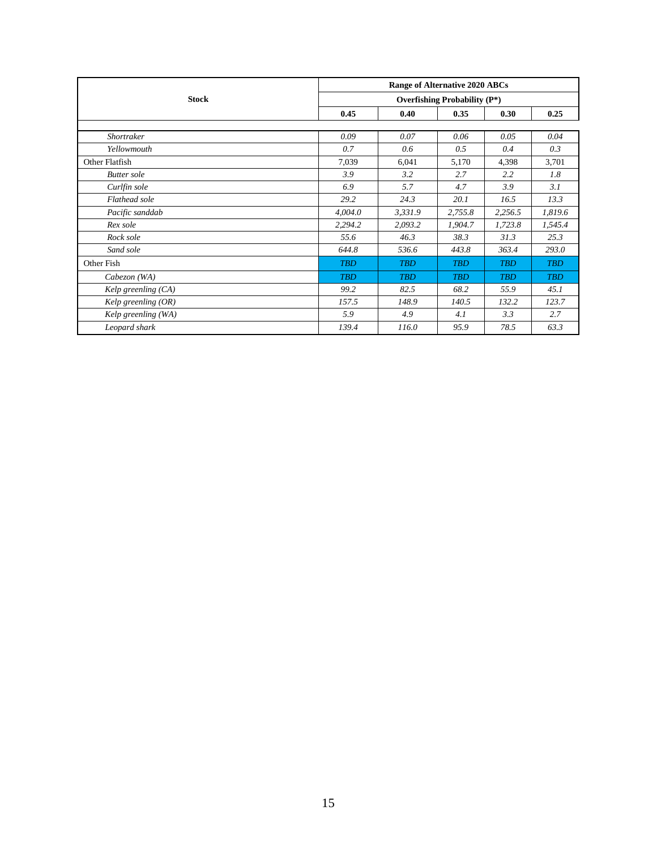|                       | <b>Range of Alternative 2020 ABCs</b><br><b>Overfishing Probability (P*)</b> |            |            |            |            |  |  |  |  |  |
|-----------------------|------------------------------------------------------------------------------|------------|------------|------------|------------|--|--|--|--|--|
| <b>Stock</b>          |                                                                              |            |            |            |            |  |  |  |  |  |
|                       | 0.45                                                                         | 0.40       | 0.35       | 0.30       | 0.25       |  |  |  |  |  |
|                       |                                                                              |            |            |            |            |  |  |  |  |  |
| Shortraker            | 0.09                                                                         | 0.07       | 0.06       | 0.05       | 0.04       |  |  |  |  |  |
| Yellowmouth           | 0.7                                                                          | 0.6        | 0.5        | 0.4        | 0.3        |  |  |  |  |  |
| Other Flatfish        | 7,039                                                                        | 6,041      | 5,170      | 4,398      | 3,701      |  |  |  |  |  |
| <b>Butter</b> sole    | 3.9                                                                          | 3.2        | 2.7        | 2.2        | 1.8        |  |  |  |  |  |
| Curlfin sole          | 6.9                                                                          | 5.7        | 4.7        | 3.9        | 3.1        |  |  |  |  |  |
| Flathead sole         | 29.2                                                                         | 24.3       | 20.1       | 16.5       | 13.3       |  |  |  |  |  |
| Pacific sanddab       | 4,004.0                                                                      | 3,331.9    | 2,755.8    | 2,256.5    | 1,819.6    |  |  |  |  |  |
| Rex sole              | 2,294.2                                                                      | 2,093.2    | 1,904.7    | 1,723.8    | 1,545.4    |  |  |  |  |  |
| Rock sole             | 55.6                                                                         | 46.3       | 38.3       | 31.3       | 25.3       |  |  |  |  |  |
| Sand sole             | 644.8                                                                        | 536.6      | 443.8      | 363.4      | 293.0      |  |  |  |  |  |
| Other Fish            | <b>TBD</b>                                                                   | <b>TBD</b> | <b>TRD</b> | <b>TRD</b> | <b>TBD</b> |  |  |  |  |  |
| Cabezon (WA)          | <b>TBD</b>                                                                   | <b>TBD</b> | <b>TBD</b> | <b>TBD</b> | <b>TBD</b> |  |  |  |  |  |
| Kelp greenling $(CA)$ | 99.2                                                                         | 82.5       | 68.2       | 55.9       | 45.1       |  |  |  |  |  |
| Kelp greenling $(OR)$ | 157.5                                                                        | 148.9      | 140.5      | 132.2      | 123.7      |  |  |  |  |  |
| Kelp greenling (WA)   | 5.9                                                                          | 4.9        | 4.1        | 3.3        | 2.7        |  |  |  |  |  |
| Leopard shark         | 139.4                                                                        | 116.0      | 95.9       | 78.5       | 63.3       |  |  |  |  |  |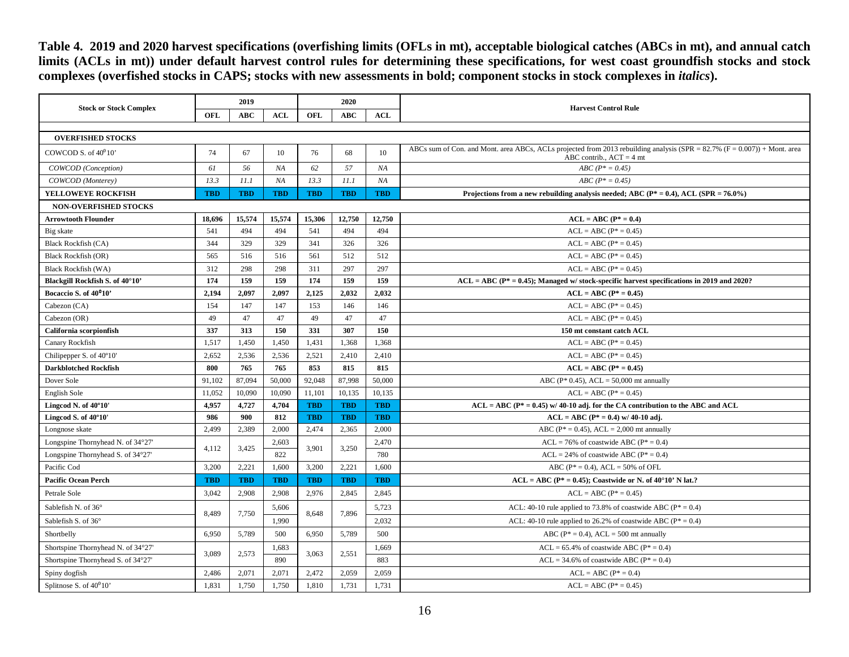**Table 4. 2019 and 2020 harvest specifications (overfishing limits (OFLs in mt), acceptable biological catches (ABCs in mt), and annual catch limits (ACLs in mt)) under default harvest control rules for determining these specifications, for west coast groundfish stocks and stock complexes (overfished stocks in CAPS; stocks with new assessments in bold; component stocks in stock complexes in** *italics***).**

<span id="page-15-0"></span>

|                                    |            | 2019       |            | 2020       |            |            |                                                                                                                                                            |  |  |  |  |  |
|------------------------------------|------------|------------|------------|------------|------------|------------|------------------------------------------------------------------------------------------------------------------------------------------------------------|--|--|--|--|--|
| <b>Stock or Stock Complex</b>      | OFL        | <b>ABC</b> | <b>ACL</b> | OFL        | <b>ABC</b> | <b>ACL</b> | <b>Harvest Control Rule</b>                                                                                                                                |  |  |  |  |  |
|                                    |            |            |            |            |            |            |                                                                                                                                                            |  |  |  |  |  |
| <b>OVERFISHED STOCKS</b>           |            |            |            |            |            |            |                                                                                                                                                            |  |  |  |  |  |
| COWCOD S. of $40^010$              | 74         | 67         | 10         | 76         | 68         | 10         | ABCs sum of Con. and Mont. area ABCs, ACLs projected from 2013 rebuilding analysis (SPR = $82.7\%$ (F = 0.007)) + Mont. area<br>ABC contrib., $ACT = 4$ mt |  |  |  |  |  |
| COWCOD (Conception)                | 61         | 56         | NA         | 62         | 57         | NA         | $ABC (P^* = 0.45)$                                                                                                                                         |  |  |  |  |  |
| COWCOD (Monterey)                  | 13.3       | 11.1       | NA         | 13.3       | 11.1       | NA         | $ABC (P^* = 0.45)$                                                                                                                                         |  |  |  |  |  |
| YELLOWEYE ROCKFISH                 | <b>TBD</b> | <b>TBD</b> | <b>TBD</b> | <b>TBD</b> | <b>TBD</b> | <b>TBD</b> | Projections from a new rebuilding analysis needed; ABC ( $P^* = 0.4$ ), ACL (SPR = 76.0%)                                                                  |  |  |  |  |  |
| <b>NON-OVERFISHED STOCKS</b>       |            |            |            |            |            |            |                                                                                                                                                            |  |  |  |  |  |
| <b>Arrowtooth Flounder</b>         | 18,696     | 15,574     | 15,574     | 15.306     | 12,750     | 12,750     | $ACL = ABC (P* = 0.4)$                                                                                                                                     |  |  |  |  |  |
| Big skate                          | 541        | 494        | 494        | 541        | 494        | 494        | $ACL = ABC (P^* = 0.45)$                                                                                                                                   |  |  |  |  |  |
| <b>Black Rockfish (CA)</b>         | 344        | 329        | 329        | 341        | 326        | 326        | $ACL = ABC (P^* = 0.45)$                                                                                                                                   |  |  |  |  |  |
| <b>Black Rockfish (OR)</b>         | 565        | 516        | 516        | 561        | 512        | 512        | $ACL = ABC (P^* = 0.45)$                                                                                                                                   |  |  |  |  |  |
| <b>Black Rockfish (WA)</b>         | 312        | 298        | 298        | 311        | 297        | 297        | $ACL = ABC (P^* = 0.45)$                                                                                                                                   |  |  |  |  |  |
| Blackgill Rockfish S. of 40°10'    | 174        | 159        | 159        | 174        | 159        | 159        | $ACL = ABC (P^* = 0.45)$ ; Managed w/stock-specific harvest specifications in 2019 and 2020?                                                               |  |  |  |  |  |
| Bocaccio S. of 40 <sup>0</sup> 10' | 2,194      | 2,097      | 2,097      | 2,125      | 2,032      | 2,032      | $ACL = ABC (P* = 0.45)$                                                                                                                                    |  |  |  |  |  |
| Cabezon (CA)                       | 154        | 147        | 147        | 153        | 146        | 146        | $ACL = ABC (P^* = 0.45)$                                                                                                                                   |  |  |  |  |  |
| Cabezon (OR)                       | 49         | 47         | 47         | 49         | 47         | 47         | $ACL = ABC (P* = 0.45)$                                                                                                                                    |  |  |  |  |  |
| California scorpionfish            | 337        | 313        | 150        | 331        | 307        | 150        | 150 mt constant catch ACL                                                                                                                                  |  |  |  |  |  |
| Canary Rockfish                    | 1,517      | 1,450      | 1,450      | 1,431      | 1,368      | 1,368      | $ACL = ABC (P* = 0.45)$                                                                                                                                    |  |  |  |  |  |
| Chilipepper S. of 40°10'           | 2,652      | 2,536      | 2,536      | 2,521      | 2,410      | 2,410      | $ACL = ABC (P^* = 0.45)$                                                                                                                                   |  |  |  |  |  |
| <b>Darkblotched Rockfish</b>       | 800        | 765        | 765        | 853        | 815        | 815        | $ACL = ABC (P* = 0.45)$                                                                                                                                    |  |  |  |  |  |
| Dover Sole                         | 91,102     | 87,094     | 50,000     | 92,048     | 87,998     | 50,000     | ABC ( $P^*$ 0.45), ACL = 50,000 mt annually                                                                                                                |  |  |  |  |  |
| English Sole                       | 11,052     | 10,090     | 10,090     | 11,101     | 10,135     | 10,135     | $ACL = ABC (P^* = 0.45)$                                                                                                                                   |  |  |  |  |  |
| Lingcod N. of 40°10'               | 4,957      | 4,727      | 4,704      | <b>TBD</b> | <b>TBD</b> | <b>TBD</b> | $ACL = ABC (P^* = 0.45)$ w/ 40-10 adj. for the CA contribution to the ABC and ACL                                                                          |  |  |  |  |  |
| Lingcod S. of 40°10'               | 986        | 900        | 812        | <b>TBD</b> | <b>TBD</b> | <b>TBD</b> | $ACL = ABC (P^* = 0.4)$ w/ 40-10 adj.                                                                                                                      |  |  |  |  |  |
| Longnose skate                     | 2,499      | 2,389      | 2,000      | 2,474      | 2,365      | 2,000      | ABC ( $P^* = 0.45$ ), ACL = 2,000 mt annually                                                                                                              |  |  |  |  |  |
| Longspine Thornyhead N. of 34°27'  | 4.112      | 3,425      | 2,603      | 3.901      | 3.250      | 2,470      | $ACL = 76\%$ of coastwide ABC ( $P^* = 0.4$ )                                                                                                              |  |  |  |  |  |
| Longspine Thornyhead S. of 34°27'  |            |            | 822        |            |            | 780        | $ACL = 24\%$ of coastwide ABC ( $P^* = 0.4$ )                                                                                                              |  |  |  |  |  |
| Pacific Cod                        | 3,200      | 2,221      | 1,600      | 3,200      | 2,221      | 1,600      | ABC ( $P^* = 0.4$ ), ACL = 50% of OFL                                                                                                                      |  |  |  |  |  |
| <b>Pacific Ocean Perch</b>         | <b>TBD</b> | <b>TBD</b> | <b>TBD</b> | <b>TBD</b> | <b>TBD</b> | <b>TBD</b> | $ACL = ABC (P^* = 0.45)$ ; Coastwide or N. of 40°10' N lat.?                                                                                               |  |  |  |  |  |
| Petrale Sole                       | 3,042      | 2,908      | 2,908      | 2,976      | 2,845      | 2,845      | $ACL = ABC (P* = 0.45)$                                                                                                                                    |  |  |  |  |  |
| Sablefish N. of 36°                | 8.489      | 7,750      | 5,606      | 8,648      | 7.896      | 5,723      | ACL: 40-10 rule applied to 73.8% of coastwide ABC ( $P^* = 0.4$ )                                                                                          |  |  |  |  |  |
| Sablefish S. of 36°                |            |            | 1,990      |            |            | 2,032      | ACL: 40-10 rule applied to 26.2% of coastwide ABC ( $P^* = 0.4$ )                                                                                          |  |  |  |  |  |
| Shortbelly                         | 6,950      | 5,789      | 500        | 6,950      | 5,789      | 500        | ABC ( $P^* = 0.4$ ), ACL = 500 mt annually                                                                                                                 |  |  |  |  |  |
| Shortspine Thornyhead N. of 34°27' |            |            | 1,683      |            |            | 1,669      | $ACL = 65.4\%$ of coastwide ABC ( $P^* = 0.4$ )                                                                                                            |  |  |  |  |  |
| Shortspine Thornyhead S. of 34°27' | 3,089      | 2,573      | 890        | 3,063      | 2,551      | 883        | $ACL = 34.6\%$ of coastwide ABC ( $P^* = 0.4$ )                                                                                                            |  |  |  |  |  |
| Spiny dogfish                      | 2,486      | 2,071      | 2,071      | 2,472      | 2,059      | 2,059      | $ACL = ABC (P^* = 0.4)$                                                                                                                                    |  |  |  |  |  |
| Splitnose S. of $40^010$           | 1,831      | 1,750      | 1,750      | 1,810      | 1,731      | 1,731      | $ACL = ABC (P* = 0.45)$                                                                                                                                    |  |  |  |  |  |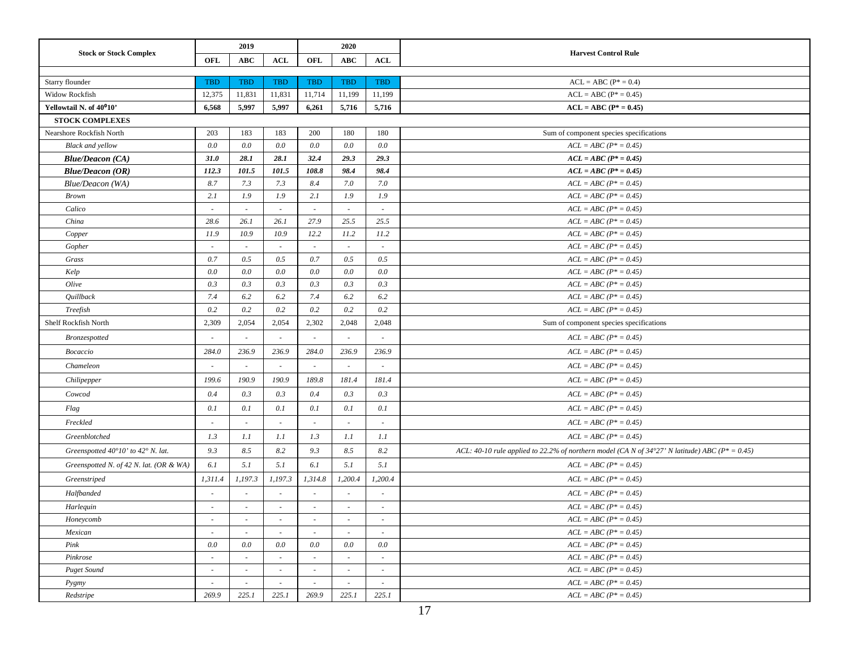| <b>Stock or Stock Complex</b>                        |                          | 2019                     |                          |                          | 2020                     |                          | <b>Harvest Control Rule</b>                                                                         |
|------------------------------------------------------|--------------------------|--------------------------|--------------------------|--------------------------|--------------------------|--------------------------|-----------------------------------------------------------------------------------------------------|
|                                                      | OFL                      | <b>ABC</b>               | <b>ACL</b>               | OFL                      | <b>ABC</b>               | ACL                      |                                                                                                     |
|                                                      |                          |                          |                          |                          |                          |                          |                                                                                                     |
| Starry flounder                                      | <b>TBD</b>               | TBD                      | <b>TBD</b>               | TBD                      | <b>TBD</b>               | <b>TBD</b>               | $ACL = ABC (P^* = 0.4)$                                                                             |
| Widow Rockfish                                       | 12,375                   | 11,831                   | 11,831                   | 11,714                   | 11,199                   | 11,199                   | $ACL = ABC (P^* = 0.45)$                                                                            |
| Yellowtail N. of 40°10'                              | 6,568                    | 5,997                    | 5,997                    | 6,261                    | 5,716                    | 5,716                    | $ACL = ABC (P* = 0.45)$                                                                             |
| <b>STOCK COMPLEXES</b>                               |                          |                          |                          |                          |                          |                          |                                                                                                     |
| Nearshore Rockfish North                             | 203                      | 183                      | 183                      | 200                      | 180                      | 180                      | Sum of component species specifications                                                             |
| <b>Black and yellow</b>                              | $0.0\,$                  | 0.0                      | 0.0                      | $0.0\,$                  | 0.0                      | 0.0                      | $ACL = ABC (P^* = 0.45)$                                                                            |
| <b>Blue/Deacon (CA)</b>                              | 31.0                     | 28.1                     | 28.1                     | 32.4                     | 29.3                     | 29.3                     | $ACL = ABC (P^* = 0.45)$                                                                            |
| <b>Blue/Deacon (OR)</b>                              | 112.3                    | 101.5                    | 101.5                    | 108.8                    | 98.4                     | 98.4                     | $ACL = ABC (P^* = 0.45)$                                                                            |
| Blue/Deacon (WA)                                     | 8.7                      | 7.3                      | 7.3                      | 8.4                      | 7.0                      | 7.0                      | $ACL = ABC (P^* = 0.45)$                                                                            |
| <b>Brown</b>                                         | 2.1                      | 1.9                      | 1.9                      | 2.1                      | 1.9                      | 1.9                      | $ACL = ABC (P^* = 0.45)$                                                                            |
| Calico                                               |                          | $\sim$                   |                          |                          |                          |                          | $ACL = ABC (P^* = 0.45)$                                                                            |
| China                                                | 28.6                     | 26.1                     | 26.1                     | 27.9                     | 25.5                     | 25.5                     | $ACL = ABC (P^* = 0.45)$                                                                            |
| Copper                                               | 11.9                     | 10.9                     | 10.9                     | 12.2                     | 11.2                     | 11.2                     | $ACL = ABC (P^* = 0.45)$                                                                            |
| Gopher                                               | $\sim$                   | $\overline{\phantom{a}}$ | $\overline{\phantom{a}}$ | $\sim$                   | $\overline{\phantom{a}}$ | $\sim$                   | $ACL = ABC (P^* = 0.45)$                                                                            |
| Grass                                                | 0.7                      | 0.5                      | 0.5                      | 0.7                      | 0.5                      | 0.5                      | $ACL = ABC (P^* = 0.45)$                                                                            |
| Kelp                                                 | 0.0                      | 0.0                      | $0.0\,$                  | 0.0                      | 0.0                      | $0.0\,$                  | $ACL = ABC (P^* = 0.45)$                                                                            |
| Olive                                                | 0.3                      | 0.3                      | 0.3                      | 0.3                      | 0.3                      | 0.3                      | $ACL = ABC (P^* = 0.45)$                                                                            |
| Quillback                                            | 7.4                      | 6.2                      | 6.2                      | 7.4                      | 6.2                      | 6.2                      | $ACL = ABC (P^* = 0.45)$                                                                            |
| Treefish                                             | 0.2                      | 0.2                      | 0.2                      | 0.2                      | 0.2                      | 0.2                      | $ACL = ABC (P^* = 0.45)$                                                                            |
| Shelf Rockfish North                                 | 2,309                    | 2,054                    | 2,054                    | 2,302                    | 2,048                    | 2,048                    | Sum of component species specifications                                                             |
| Bronzespotted                                        |                          | $\sim$                   |                          |                          |                          |                          | $ACL = ABC (P^* = 0.45)$                                                                            |
| <b>Bocaccio</b>                                      | 284.0                    | 236.9                    | 236.9                    | 284.0                    | 236.9                    | 236.9                    | $ACL = ABC (P^* = 0.45)$                                                                            |
| Chameleon                                            | $\sim$                   | $\overline{\phantom{a}}$ | $\sim$                   | $\sim$                   | $\overline{\phantom{a}}$ | $\overline{\phantom{a}}$ | $ACL = ABC (P^* = 0.45)$                                                                            |
| Chilipepper                                          | 199.6                    | 190.9                    | 190.9                    | 189.8                    | 181.4                    | 181.4                    | $ACL = ABC (P^* = 0.45)$                                                                            |
| Cowcod                                               | 0.4                      | 0.3                      | 0.3                      | 0.4                      | 0.3                      | 0.3                      | $ACL = ABC (P^* = 0.45)$                                                                            |
| Flag                                                 | 0.1                      | 0.1                      | 0.1                      | 0.1                      | 0.1                      | 0.1                      | $ACL = ABC (P^* = 0.45)$                                                                            |
| Freckled                                             | $\overline{\phantom{a}}$ |                          |                          | $\overline{\phantom{a}}$ | ÷,                       | $\overline{\phantom{a}}$ | $ACL = ABC (P^* = 0.45)$                                                                            |
| Greenblotched                                        | 1.3                      | 1.1                      | 1.1                      | 1.3                      | 1.1                      | 1.1                      | $ACL = ABC (P^* = 0.45)$                                                                            |
| Greenspotted $40^{\circ}10'$ to $42^{\circ}$ N. lat. | 9.3                      | 8.5                      | 8.2                      | 9.3                      | 8.5                      | 8.2                      | ACL: 40-10 rule applied to 22.2% of northern model (CA N of 34°27' N latitude) ABC ( $P^* = 0.45$ ) |
| Greenspotted N. of 42 N. lat. (OR & WA)              | 6.1                      | 5.1                      | 5.1                      | 6.1                      | 5.1                      | 5.1                      | $ACL = ABC (P^* = 0.45)$                                                                            |
| Greenstriped                                         | 1,311.4                  | 1,197.3                  | 1,197.3                  | 1,314.8                  | 1,200.4                  | 1,200.4                  | $ACL = ABC (P^* = 0.45)$                                                                            |
| Halfbanded                                           | $\overline{\phantom{a}}$ |                          |                          |                          |                          |                          | $ACL = ABC (P^* = 0.45)$                                                                            |
| Harlequin                                            | $\sim$                   |                          |                          | $\sim$                   | $\overline{\phantom{a}}$ | $\overline{\phantom{a}}$ | $ACL = ABC (P^* = 0.45)$                                                                            |
| Honeycomb                                            | $\overline{\phantom{a}}$ | $\sim$                   |                          | $\overline{\phantom{a}}$ | $\sim$                   |                          | $ACL = ABC (P^* = 0.45)$                                                                            |
| Mexican                                              | $\sim$                   |                          |                          | $\sim$                   |                          | $\sim$                   | $ACL = ABC (P^* = 0.45)$                                                                            |
| Pink                                                 | $0.0\,$                  | 0.0                      | 0.0                      | 0.0                      | 0.0                      | 0.0                      | $ACL = ABC (P^* = 0.45)$                                                                            |
| Pinkrose                                             | $\overline{\phantom{a}}$ |                          |                          | $\overline{\phantom{a}}$ |                          | $\overline{\phantom{a}}$ | $ACL = ABC (P^* = 0.45)$                                                                            |
| <b>Puget Sound</b>                                   | $\overline{\phantom{a}}$ | $\overline{\phantom{a}}$ | $\overline{\phantom{a}}$ | $\overline{\phantom{a}}$ | $\sim$                   | $\overline{\phantom{a}}$ | $ACL = ABC (P^* = 0.45)$                                                                            |
| Pygmy                                                | $\sim$                   | $\overline{\phantom{a}}$ | $\sim$                   |                          |                          | $\sim$                   | $ACL = ABC (P^* = 0.45)$                                                                            |
| Redstripe                                            | 269.9                    | 225.1                    | 225.1                    | 269.9                    | 225.1                    | 225.1                    | $ACL = ABC (P^* = 0.45)$                                                                            |
|                                                      |                          |                          |                          |                          |                          |                          |                                                                                                     |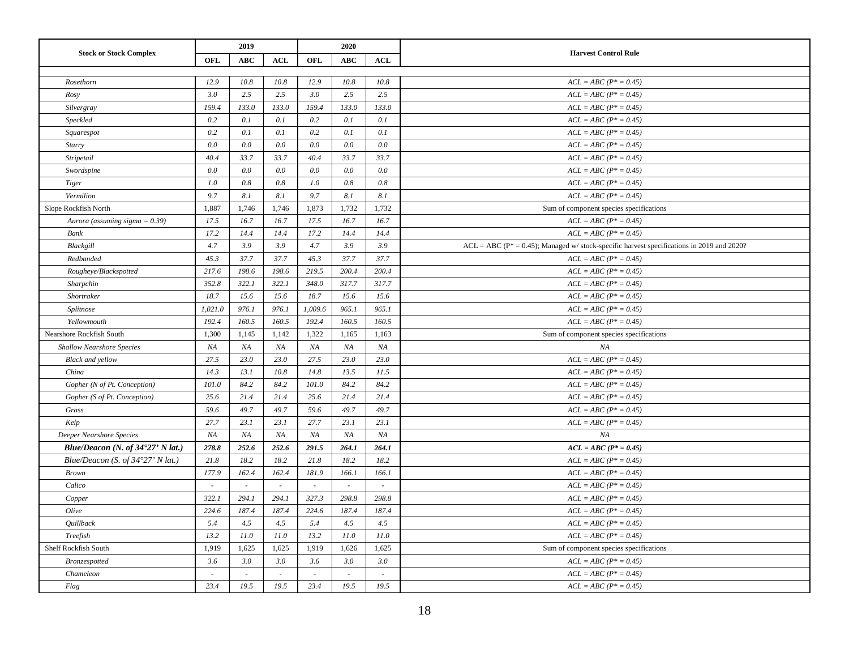| <b>Stock or Stock Complex</b>              |         | 2019       |            |         | 2020       |            | <b>Harvest Control Rule</b>                                                                   |
|--------------------------------------------|---------|------------|------------|---------|------------|------------|-----------------------------------------------------------------------------------------------|
|                                            | OFL     | <b>ABC</b> | <b>ACL</b> | OFL     | <b>ABC</b> | <b>ACL</b> |                                                                                               |
| Rosethorn                                  | 12.9    | 10.8       | 10.8       | 12.9    | 10.8       | 10.8       | $ACL = ABC (P^* = 0.45)$                                                                      |
| Rosy                                       | 3.0     | 2.5        | 2.5        | 3.0     | 2.5        | 2.5        | $ACL = ABC (P^* = 0.45)$                                                                      |
| Silvergray                                 | 159.4   | 133.0      | 133.0      | 159.4   | 133.0      | 133.0      | $ACL = ABC (P^* = 0.45)$                                                                      |
| Speckled                                   | 0.2     | 0.1        | 0.1        | 0.2     | 0.1        | 0.1        | $ACL = ABC (P^* = 0.45)$                                                                      |
| Squarespot                                 | 0.2     | 0.1        | 0.1        | 0.2     | 0.1        | 0.1        | $ACL = ABC (P^* = 0.45)$                                                                      |
| Starry                                     | 0.0     | 0.0        | 0.0        | 0.0     | 0.0        | 0.0        | $ACL = ABC (P^* = 0.45)$                                                                      |
| Stripetail                                 | 40.4    | 33.7       | 33.7       | 40.4    | 33.7       | 33.7       | $ACL = ABC (P^* = 0.45)$                                                                      |
| Swordspine                                 | 0.0     | 0.0        | 0.0        | 0.0     | 0.0        | 0.0        | $ACL = ABC (P^* = 0.45)$                                                                      |
| Tiger                                      | 1.0     | 0.8        | 0.8        | 1.0     | 0.8        | 0.8        | $ACL = ABC (P^* = 0.45)$                                                                      |
| Vermilion                                  | 9.7     | 8.1        | 8.1        | 9.7     | 8.1        | $8.1\,$    | $ACL = ABC (P^* = 0.45)$                                                                      |
| Slope Rockfish North                       | 1,887   | 1,746      | 1,746      | 1,873   | 1,732      | 1,732      | Sum of component species specifications                                                       |
| Aurora (assuming sigma = $0.39$ )          | 17.5    | 16.7       | 16.7       | 17.5    | 16.7       | 16.7       | $ACL = ABC (P^* = 0.45)$                                                                      |
| Bank                                       | 17.2    | 14.4       | 14.4       | 17.2    | 14.4       | 14.4       | $ACL = ABC (P^* = 0.45)$                                                                      |
| Blackgill                                  | 4.7     | 3.9        | 3.9        | 4.7     | 3.9        | 3.9        | $ACL = ABC (P^* = 0.45)$ ; Managed w/ stock-specific harvest specifications in 2019 and 2020? |
| Redbanded                                  | 45.3    | 37.7       | 37.7       | 45.3    | 37.7       | 37.7       | $ACL = ABC (P^* = 0.45)$                                                                      |
| Rougheye/Blackspotted                      | 217.6   | 198.6      | 198.6      | 219.5   | 200.4      | 200.4      | $ACL = ABC (P^* = 0.45)$                                                                      |
| Sharpchin                                  | 352.8   | 322.1      | 322.1      | 348.0   | 317.7      | 317.7      | $ACL = ABC (P^* = 0.45)$                                                                      |
| Shortraker                                 | 18.7    | 15.6       | 15.6       | 18.7    | 15.6       | 15.6       | $ACL = ABC (P^* = 0.45)$                                                                      |
| Splitnose                                  | 1,021.0 | 976.1      | 976.1      | 1,009.6 | 965.1      | 965.1      | $ACL = ABC (P^* = 0.45)$                                                                      |
| Yellowmouth                                | 192.4   | 160.5      | 160.5      | 192.4   | 160.5      | 160.5      | $ACL = ABC (P^* = 0.45)$                                                                      |
| Nearshore Rockfish South                   | 1,300   | 1,145      | 1,142      | 1,322   | 1,165      | 1,163      | Sum of component species specifications                                                       |
| Shallow Nearshore Species                  | NA      | NA         | NA         | NA      | NA         | NA         | NA                                                                                            |
| <b>Black</b> and yellow                    | 27.5    | 23.0       | 23.0       | 27.5    | 23.0       | 23.0       | $ACL = ABC (P^* = 0.45)$                                                                      |
| China                                      | 14.3    | 13.1       | 10.8       | 14.8    | 13.5       | 11.5       | $ACL = ABC (P^* = 0.45)$                                                                      |
| Gopher (N of Pt. Conception)               | 101.0   | 84.2       | 84.2       | 101.0   | 84.2       | 84.2       | $ACL = ABC (P^* = 0.45)$                                                                      |
| Gopher (S of Pt. Conception)               | 25.6    | 21.4       | 21.4       | 25.6    | 21.4       | 21.4       | $ACL = ABC (P^* = 0.45)$                                                                      |
| Grass                                      | 59.6    | 49.7       | 49.7       | 59.6    | 49.7       | 49.7       | $ACL = ABC (P^* = 0.45)$                                                                      |
| Kelp                                       | 27.7    | 23.1       | 23.1       | 27.7    | 23.1       | 23.1       | $ACL = ABC (P^* = 0.45)$                                                                      |
| Deeper Nearshore Species                   | NA      | NA         | NA         | NA      | NA         | NA         | NA                                                                                            |
| Blue/Deacon (N. of $34^{\circ}27'$ N lat.) | 278.8   | 252.6      | 252.6      | 291.5   | 264.1      | 264.1      | $ACL = ABC (P^* = 0.45)$                                                                      |
| Blue/Deacon (S. of 34°27' N lat.)          | 21.8    | 18.2       | 18.2       | 21.8    | 18.2       | 18.2       | $ACL = ABC (P^* = 0.45)$                                                                      |
| <b>Brown</b>                               | 177.9   | 162.4      | 162.4      | 181.9   | 166.1      | 166.1      | $ACL = ABC (P^* = 0.45)$                                                                      |
| Calico                                     | $\sim$  | $\sim$     | $\sim$     | $\sim$  | ÷          | $\sim$     | $ACL = ABC (P^* = 0.45)$                                                                      |
| Copper                                     | 322.1   | 294.1      | 294.1      | 327.3   | 298.8      | 298.8      | $ACL = ABC (P^* = 0.45)$                                                                      |
| Olive                                      | 224.6   | 187.4      | 187.4      | 224.6   | 187.4      | 187.4      | $ACL = ABC (P^* = 0.45)$                                                                      |
| Quillback                                  | 5.4     | 4.5        | 4.5        | 5.4     | 4.5        | 4.5        | $ACL = ABC (P^* = 0.45)$                                                                      |
| Treefish                                   | 13.2    | 11.0       | 11.0       | 13.2    | 11.0       | 11.0       | $ACL = ABC (P^* = 0.45)$                                                                      |
| Shelf Rockfish South                       | 1,919   | 1,625      | 1,625      | 1,919   | 1,626      | 1,625      | Sum of component species specifications                                                       |
| Bronzespotted                              | 3.6     | 3.0        | 3.0        | 3.6     | 3.0        | 3.0        | $ACL = ABC (P^* = 0.45)$                                                                      |
| Chameleon                                  | $\sim$  | $\sim$     | $\sim$     | $\sim$  | $\sim$     | $\sim$     | $ACL = ABC (P^* = 0.45)$                                                                      |
| $Flag$                                     | 23.4    | 19.5       | 19.5       | 23.4    | 19.5       | 19.5       | $ACL = ABC (P^* = 0.45)$                                                                      |
|                                            |         |            |            |         |            |            |                                                                                               |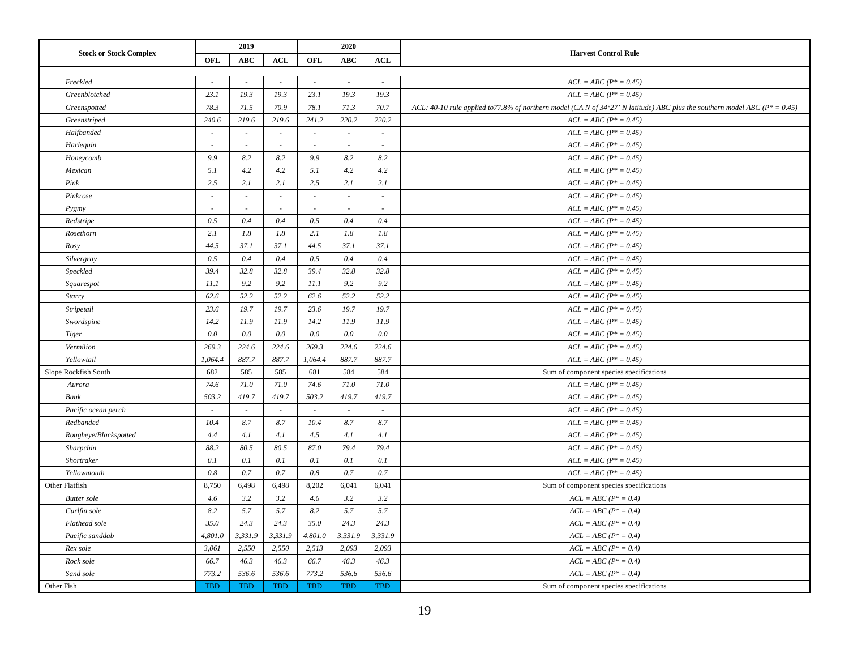| <b>Stock or Stock Complex</b><br><b>Harvest Control Rule</b><br><b>OFL</b><br><b>OFL</b><br><b>ABC</b><br>ACL<br><b>ABC</b><br><b>ACL</b><br>Freckled<br>$ACL = ABC (P^* = 0.45)$<br>$\sim$<br>$\sim$<br>$\sim$<br>$\sim$<br>$\sim$<br>$\sim$<br>Greenblotched<br>23.1<br>19.3<br>19.3<br>23.1<br>19.3<br>19.3<br>$ACL = ABC (P^* = 0.45)$<br>71.5<br>70.9<br>78.3<br>78.1<br>71.3<br>70.7<br>ACL: 40-10 rule applied to 77.8% of northern model (CA N of 34°27' N latitude) ABC plus the southern model ABC ( $P^* = 0.45$ )<br>Greenspotted<br>240.6<br>219.6<br>219.6<br>241.2<br>220.2<br>220.2<br>$ACL = ABC (P^* = 0.45)$<br>Greenstriped<br>Halfbanded<br>$ACL = ABC (P^* = 0.45)$<br>$\sim$<br>$\sim$<br>$\sim$<br>$\sim$<br>$ACL = ABC (P^* = 0.45)$<br>Harlequin<br>$\sim$<br>$\sim$<br>$\sim$<br>$\omega$<br>$\sim$<br>$\sim$ |
|------------------------------------------------------------------------------------------------------------------------------------------------------------------------------------------------------------------------------------------------------------------------------------------------------------------------------------------------------------------------------------------------------------------------------------------------------------------------------------------------------------------------------------------------------------------------------------------------------------------------------------------------------------------------------------------------------------------------------------------------------------------------------------------------------------------------------------------|
|                                                                                                                                                                                                                                                                                                                                                                                                                                                                                                                                                                                                                                                                                                                                                                                                                                          |
|                                                                                                                                                                                                                                                                                                                                                                                                                                                                                                                                                                                                                                                                                                                                                                                                                                          |
|                                                                                                                                                                                                                                                                                                                                                                                                                                                                                                                                                                                                                                                                                                                                                                                                                                          |
|                                                                                                                                                                                                                                                                                                                                                                                                                                                                                                                                                                                                                                                                                                                                                                                                                                          |
|                                                                                                                                                                                                                                                                                                                                                                                                                                                                                                                                                                                                                                                                                                                                                                                                                                          |
|                                                                                                                                                                                                                                                                                                                                                                                                                                                                                                                                                                                                                                                                                                                                                                                                                                          |
|                                                                                                                                                                                                                                                                                                                                                                                                                                                                                                                                                                                                                                                                                                                                                                                                                                          |
|                                                                                                                                                                                                                                                                                                                                                                                                                                                                                                                                                                                                                                                                                                                                                                                                                                          |
| 9.9<br>8.2<br>9.9<br>8.2<br>Honeycomb<br>8.2<br>8.2<br>$ACL = ABC (P^* = 0.45)$                                                                                                                                                                                                                                                                                                                                                                                                                                                                                                                                                                                                                                                                                                                                                          |
| 5.1<br>4.2<br>4.2<br>4.2<br>5.1<br>4.2<br>$ACL = ABC (P^* = 0.45)$<br>Mexican                                                                                                                                                                                                                                                                                                                                                                                                                                                                                                                                                                                                                                                                                                                                                            |
| 2.5<br>2.1<br>2.5<br>2.1<br>Pink<br>2.1<br>2.1<br>$ACL = ABC (P^* = 0.45)$                                                                                                                                                                                                                                                                                                                                                                                                                                                                                                                                                                                                                                                                                                                                                               |
| Pinkrose<br>$ACL = ABC (P^* = 0.45)$<br>$\sim$<br>$\sim$<br>$\sim$<br>$\sim$<br>$\omega$<br>$\overline{\phantom{a}}$                                                                                                                                                                                                                                                                                                                                                                                                                                                                                                                                                                                                                                                                                                                     |
| $ACL = ABC (P^* = 0.45)$<br>Pygmy<br>$\sim$<br>$\sim$<br>$\sim$<br>×.<br>÷<br>$\sim$                                                                                                                                                                                                                                                                                                                                                                                                                                                                                                                                                                                                                                                                                                                                                     |
| Redstripe<br>0.5<br>0.4<br>0.4<br>0.5<br>0.4<br>0.4<br>$ACL = ABC (P^* = 0.45)$                                                                                                                                                                                                                                                                                                                                                                                                                                                                                                                                                                                                                                                                                                                                                          |
| 2.1<br>$ACL = ABC (P^* = 0.45)$<br>Rosethorn<br>1.8<br>1.8<br>2.1<br>1.8<br>1.8                                                                                                                                                                                                                                                                                                                                                                                                                                                                                                                                                                                                                                                                                                                                                          |
| 37.1<br>37.1<br>44.5<br>37.1<br>44.5<br>37.1<br>$ACL = ABC (P^* = 0.45)$<br>Rosy                                                                                                                                                                                                                                                                                                                                                                                                                                                                                                                                                                                                                                                                                                                                                         |
| 0.5<br>0.4<br>0.5<br>0.4<br>0.4<br>0.4<br>$ACL = ABC (P^* = 0.45)$<br>Silvergray                                                                                                                                                                                                                                                                                                                                                                                                                                                                                                                                                                                                                                                                                                                                                         |
| 39.4<br>32.8<br>32.8<br>39.4<br>32.8<br>32.8<br>$ACL = ABC (P^* = 0.45)$<br>Speckled                                                                                                                                                                                                                                                                                                                                                                                                                                                                                                                                                                                                                                                                                                                                                     |
| 11.1<br>9.2<br>9.2<br>11.1<br>9.2<br>9.2<br>$ACL = ABC (P^* = 0.45)$<br>Squarespot                                                                                                                                                                                                                                                                                                                                                                                                                                                                                                                                                                                                                                                                                                                                                       |
| 52.2<br>62.6<br>52.2<br>52.2<br>62.6<br>52.2<br>$ACL = ABC (P^* = 0.45)$<br>Starry                                                                                                                                                                                                                                                                                                                                                                                                                                                                                                                                                                                                                                                                                                                                                       |
| 19.7<br>19.7<br>23.6<br>19.7<br>19.7<br>23.6<br>$ACL = ABC (P^* = 0.45)$<br>Stripetail                                                                                                                                                                                                                                                                                                                                                                                                                                                                                                                                                                                                                                                                                                                                                   |
| 14.2<br>11.9<br>11.9<br>14.2<br>11.9<br>11.9<br>$ACL = ABC (P^* = 0.45)$<br>Swordspine                                                                                                                                                                                                                                                                                                                                                                                                                                                                                                                                                                                                                                                                                                                                                   |
| 0.0<br>0.0<br>0.0<br>0.0<br>0.0<br>0.0<br>$ACL = ABC (P^* = 0.45)$<br><b>Tiger</b>                                                                                                                                                                                                                                                                                                                                                                                                                                                                                                                                                                                                                                                                                                                                                       |
| Vermilion<br>269.3<br>224.6<br>224.6<br>269.3<br>224.6<br>224.6<br>$ACL = ABC (P^* = 0.45)$                                                                                                                                                                                                                                                                                                                                                                                                                                                                                                                                                                                                                                                                                                                                              |
| Yellowtail<br>887.7<br>887.7<br>1,064.4<br>887.7<br>887.7<br>$ACL = ABC (P^* = 0.45)$<br>1,064.4                                                                                                                                                                                                                                                                                                                                                                                                                                                                                                                                                                                                                                                                                                                                         |
| 682<br>585<br>585<br>681<br>584<br>584<br>Slope Rockfish South<br>Sum of component species specifications                                                                                                                                                                                                                                                                                                                                                                                                                                                                                                                                                                                                                                                                                                                                |
| 74.6<br>71.0<br>71.0<br>74.6<br>71.0<br>71.0<br>$ACL = ABC (P^* = 0.45)$<br>Aurora                                                                                                                                                                                                                                                                                                                                                                                                                                                                                                                                                                                                                                                                                                                                                       |
| 503.2<br>419.7<br>419.7<br>503.2<br>419.7<br>419.7<br><b>Bank</b><br>$ACL = ABC (P^* = 0.45)$                                                                                                                                                                                                                                                                                                                                                                                                                                                                                                                                                                                                                                                                                                                                            |
| Pacific ocean perch<br>$ACL = ABC (P^* = 0.45)$<br>$\sim$<br>$\sim$<br>$\sim$<br>$\sim$<br>$\sim$<br>$\sim$                                                                                                                                                                                                                                                                                                                                                                                                                                                                                                                                                                                                                                                                                                                              |
| 10.4<br>8.7<br>10.4<br>8.7<br>8.7<br>Redbanded<br>8.7<br>$ACL = ABC (P^* = 0.45)$                                                                                                                                                                                                                                                                                                                                                                                                                                                                                                                                                                                                                                                                                                                                                        |
| 4.5<br>Rougheye/Blackspotted<br>4.4<br>4.1<br>4.1<br>4.1<br>4.1<br>$ACL = ABC (P^* = 0.45)$                                                                                                                                                                                                                                                                                                                                                                                                                                                                                                                                                                                                                                                                                                                                              |
| 80.5<br>80.5<br>79.4<br>Sharpchin<br>88.2<br>87.0<br>79.4<br>$ACL = ABC (P^* = 0.45)$                                                                                                                                                                                                                                                                                                                                                                                                                                                                                                                                                                                                                                                                                                                                                    |
| 0.1<br>0.1<br>0.1<br>0.1<br>0.1<br>0.1<br>$ACL = ABC (P^* = 0.45)$<br>Shortraker                                                                                                                                                                                                                                                                                                                                                                                                                                                                                                                                                                                                                                                                                                                                                         |
| 0.8<br>0.7<br>0.7<br>0.8<br>0.7<br>0.7<br>$ACL = ABC (P^* = 0.45)$<br>Yellowmouth                                                                                                                                                                                                                                                                                                                                                                                                                                                                                                                                                                                                                                                                                                                                                        |
| Other Flatfish<br>8,750<br>6,498<br>6,498<br>8,202<br>6,041<br>6,041<br>Sum of component species specifications                                                                                                                                                                                                                                                                                                                                                                                                                                                                                                                                                                                                                                                                                                                          |
| 3.2<br>3.2<br>4.6<br>3.2<br>3.2<br>4.6<br>$ACL = ABC (P^* = 0.4)$<br><b>Butter</b> sole                                                                                                                                                                                                                                                                                                                                                                                                                                                                                                                                                                                                                                                                                                                                                  |
| 5.7<br>5.7<br>5.7<br>5.7<br>Curlfin sole<br>8.2<br>8.2<br>$ACL = ABC (P^* = 0.4)$                                                                                                                                                                                                                                                                                                                                                                                                                                                                                                                                                                                                                                                                                                                                                        |
| 35.0<br>24.3<br>24.3<br>35.0<br>24.3<br>24.3<br>Flathead sole<br>$ACL = ABC (P^* = 0.4)$                                                                                                                                                                                                                                                                                                                                                                                                                                                                                                                                                                                                                                                                                                                                                 |
| 3,331.9<br>3,331.9<br>4,801.0<br>3,331.9<br>3,331.9<br>Pacific sanddab<br>4,801.0<br>$ACL = ABC (P^* = 0.4)$                                                                                                                                                                                                                                                                                                                                                                                                                                                                                                                                                                                                                                                                                                                             |
| Rex sole<br>3,061<br>2,550<br>2,550<br>2,513<br>2,093<br>2,093<br>$ACL = ABC (P^* = 0.4)$                                                                                                                                                                                                                                                                                                                                                                                                                                                                                                                                                                                                                                                                                                                                                |
| Rock sole<br>66.7<br>46.3<br>46.3<br>66.7<br>46.3<br>46.3<br>$ACL = ABC (P^* = 0.4)$                                                                                                                                                                                                                                                                                                                                                                                                                                                                                                                                                                                                                                                                                                                                                     |
| 536.6<br>773.2<br>Sand sole<br>773.2<br>536.6<br>536.6<br>536.6<br>$ACL = ABC (P^* = 0.4)$                                                                                                                                                                                                                                                                                                                                                                                                                                                                                                                                                                                                                                                                                                                                               |
| <b>TBD</b><br><b>TBD</b><br><b>TBD</b><br><b>TBD</b><br><b>TBD</b><br><b>TBD</b><br>Other Fish<br>Sum of component species specifications                                                                                                                                                                                                                                                                                                                                                                                                                                                                                                                                                                                                                                                                                                |